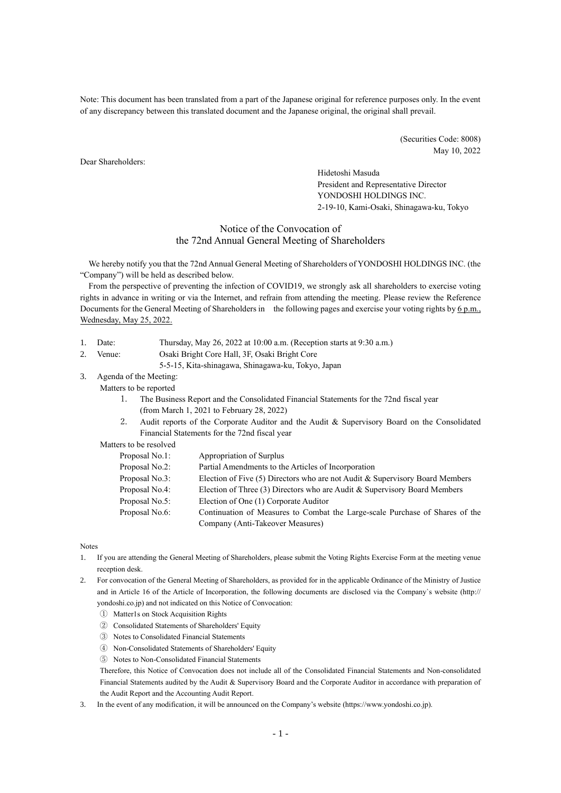Note: This document has been translated from a part of the Japanese original for reference purposes only. In the event of any discrepancy between this translated document and the Japanese original, the original shall prevail.

> (Securities Code: 8008) May 10, 2022

Dear Shareholders:

Hidetoshi Masuda President and Representative Director YONDOSHI HOLDINGS INC. 2-19-10, Kami-Osaki, Shinagawa-ku, Tokyo

# Notice of the Convocation of the 72nd Annual General Meeting of Shareholders

We hereby notify you that the 72nd Annual General Meeting of Shareholders of YONDOSHI HOLDINGS INC. (the "Company") will be held as described below.

From the perspective of preventing the infection of COVID19, we strongly ask all shareholders to exercise voting rights in advance in writing or via the Internet, and refrain from attending the meeting. Please review the Reference Documents for the General Meeting of Shareholders in the following pages and exercise your voting rights by 6 p.m., Wednesday, May 25, 2022.

- 1. Date: Thursday, May 26, 2022 at 10:00 a.m. (Reception starts at 9:30 a.m.)
- 2. Venue: Osaki Bright Core Hall, 3F, Osaki Bright Core
	- 5-5-15, Kita-shinagawa, Shinagawa-ku, Tokyo, Japan
- 3. Agenda of the Meeting:
	- Matters to be reported
		- 1. The Business Report and the Consolidated Financial Statements for the 72nd fiscal year (from March 1, 2021 to February 28, 2022)
		- 2. Audit reports of the Corporate Auditor and the Audit & Supervisory Board on the Consolidated Financial Statements for the 72nd fiscal year

### Matters to be resolved

| Proposal No.1: | Appropriation of Surplus                                                     |
|----------------|------------------------------------------------------------------------------|
| Proposal No.2: | Partial Amendments to the Articles of Incorporation                          |
| Proposal No.3: | Election of Five (5) Directors who are not Audit & Supervisory Board Members |
| Proposal No.4: | Election of Three (3) Directors who are Audit & Supervisory Board Members    |
| Proposal No.5: | Election of One (1) Corporate Auditor                                        |
| Proposal No.6: | Continuation of Measures to Combat the Large-scale Purchase of Shares of the |
|                | Company (Anti-Takeover Measures)                                             |

Notes

1. If you are attending the General Meeting of Shareholders, please submit the Voting Rights Exercise Form at the meeting venue reception desk.

2. For convocation of the General Meeting of Shareholders, as provided for in the applicable Ordinance of the Ministry of Justice and in Article 16 of the Article of Incorporation, the following documents are disclosed via the Company`s website (http:// yondoshi.co.jp) and not indicated on this Notice of Convocation:

- ① Matter1s on Stock Acquisition Rights
- ② Consolidated Statements of Shareholders' Equity
- ③ Notes to Consolidated Financial Statements
- ④ Non-Consolidated Statements of Shareholders' Equity
- ⑤ Notes to Non-Consolidated Financial Statements

Therefore, this Notice of Convocation does not include all of the Consolidated Financial Statements and Non-consolidated Financial Statements audited by the Audit & Supervisory Board and the Corporate Auditor in accordance with preparation of the Audit Report and the Accounting Audit Report.

3. In the event of any modification, it will be announced on the Company's website (https://www.yondoshi.co.jp).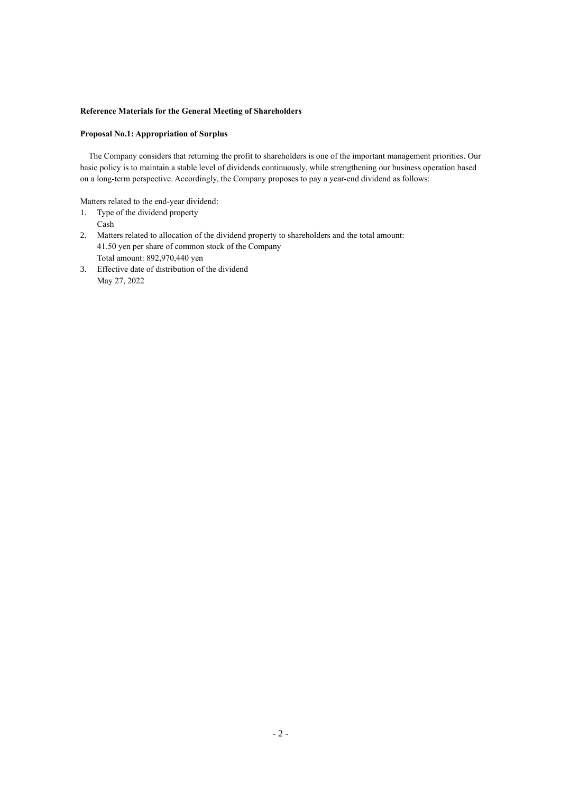## **Reference Materials for the General Meeting of Shareholders**

## **Proposal No.1: Appropriation of Surplus**

The Company considers that returning the profit to shareholders is one of the important management priorities. Our basic policy is to maintain a stable level of dividends continuously, while strengthening our business operation based on a long-term perspective. Accordingly, the Company proposes to pay a year-end dividend as follows:

Matters related to the end-year dividend:

- 1. Type of the dividend property Cash
- 2. Matters related to allocation of the dividend property to shareholders and the total amount: 41.50 yen per share of common stock of the Company Total amount: 892,970,440 yen
- 3. Effective date of distribution of the dividend May 27, 2022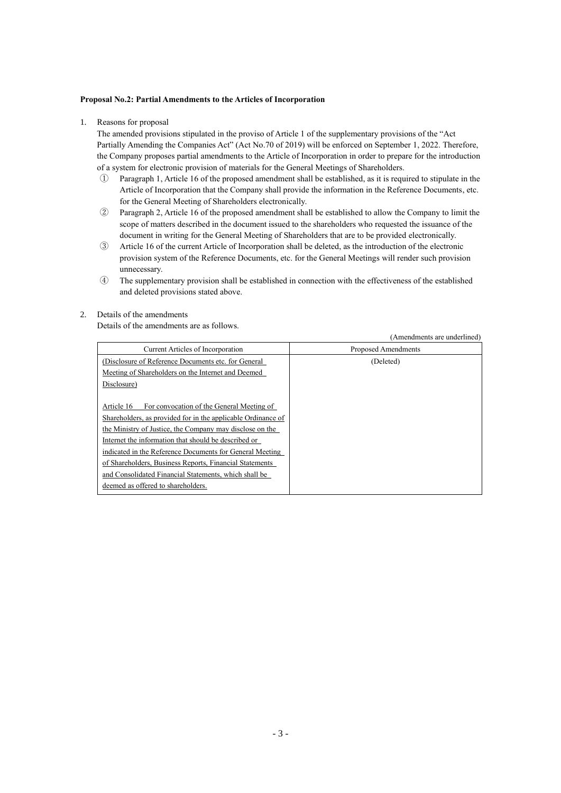### **Proposal No.2: Partial Amendments to the Articles of Incorporation**

1. Reasons for proposal

The amended provisions stipulated in the proviso of Article 1 of the supplementary provisions of the "Act Partially Amending the Companies Act" (Act No.70 of 2019) will be enforced on September 1, 2022. Therefore, the Company proposes partial amendments to the Article of Incorporation in order to prepare for the introduction of a system for electronic provision of materials for the General Meetings of Shareholders.

- ① Paragraph 1, Article 16 of the proposed amendment shall be established, as it is required to stipulate in the Article of Incorporation that the Company shall provide the information in the Reference Documents, etc. for the General Meeting of Shareholders electronically.
- ② Paragraph 2, Article 16 of the proposed amendment shall be established to allow the Company to limit the scope of matters described in the document issued to the shareholders who requested the issuance of the document in writing for the General Meeting of Shareholders that are to be provided electronically.
- ③ Article 16 of the current Article of Incorporation shall be deleted, as the introduction of the electronic provision system of the Reference Documents, etc. for the General Meetings will render such provision unnecessary.
- ④ The supplementary provision shall be established in connection with the effectiveness of the established and deleted provisions stated above.

### 2. Details of the amendments

Details of the amendments are as follows.

(Amendments are underlined)

|                                                              | 12 mnonumento ure unuermieu |
|--------------------------------------------------------------|-----------------------------|
| <b>Current Articles of Incorporation</b>                     | Proposed Amendments         |
| (Disclosure of Reference Documents etc. for General          | (Deleted)                   |
| Meeting of Shareholders on the Internet and Deemed           |                             |
| Disclosure)                                                  |                             |
|                                                              |                             |
| Article 16<br>For convocation of the General Meeting of      |                             |
| Shareholders, as provided for in the applicable Ordinance of |                             |
| the Ministry of Justice, the Company may disclose on the     |                             |
| Internet the information that should be described or         |                             |
| indicated in the Reference Documents for General Meeting     |                             |
| of Shareholders, Business Reports, Financial Statements      |                             |
| and Consolidated Financial Statements, which shall be        |                             |
| deemed as offered to shareholders.                           |                             |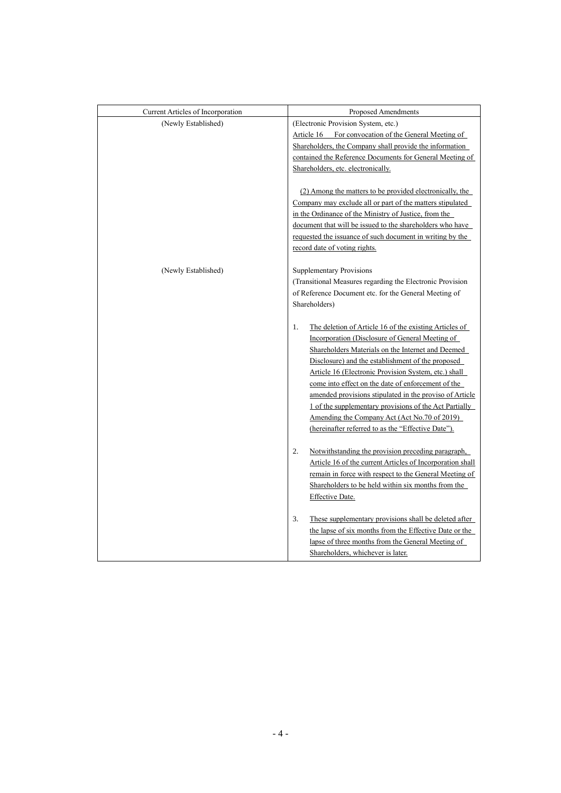| Current Articles of Incorporation | Proposed Amendments                                                                                                                                                                                                                                                                                                                                                                                                                                                                                                                                                |
|-----------------------------------|--------------------------------------------------------------------------------------------------------------------------------------------------------------------------------------------------------------------------------------------------------------------------------------------------------------------------------------------------------------------------------------------------------------------------------------------------------------------------------------------------------------------------------------------------------------------|
| (Newly Established)               | (Electronic Provision System, etc.)                                                                                                                                                                                                                                                                                                                                                                                                                                                                                                                                |
|                                   | Article 16 For convocation of the General Meeting of                                                                                                                                                                                                                                                                                                                                                                                                                                                                                                               |
|                                   | Shareholders, the Company shall provide the information                                                                                                                                                                                                                                                                                                                                                                                                                                                                                                            |
|                                   | contained the Reference Documents for General Meeting of                                                                                                                                                                                                                                                                                                                                                                                                                                                                                                           |
|                                   | Shareholders, etc. electronically.                                                                                                                                                                                                                                                                                                                                                                                                                                                                                                                                 |
|                                   | (2) Among the matters to be provided electronically, the<br>Company may exclude all or part of the matters stipulated<br>in the Ordinance of the Ministry of Justice, from the                                                                                                                                                                                                                                                                                                                                                                                     |
|                                   | document that will be issued to the shareholders who have                                                                                                                                                                                                                                                                                                                                                                                                                                                                                                          |
|                                   | requested the issuance of such document in writing by the                                                                                                                                                                                                                                                                                                                                                                                                                                                                                                          |
|                                   | record date of voting rights.                                                                                                                                                                                                                                                                                                                                                                                                                                                                                                                                      |
| (Newly Established)               | <b>Supplementary Provisions</b><br>(Transitional Measures regarding the Electronic Provision<br>of Reference Document etc. for the General Meeting of<br>Shareholders)                                                                                                                                                                                                                                                                                                                                                                                             |
|                                   | The deletion of Article 16 of the existing Articles of<br>1.<br>Incorporation (Disclosure of General Meeting of<br>Shareholders Materials on the Internet and Deemed<br>Disclosure) and the establishment of the proposed<br>Article 16 (Electronic Provision System, etc.) shall<br>come into effect on the date of enforcement of the<br>amended provisions stipulated in the proviso of Article<br>1 of the supplementary provisions of the Act Partially<br>Amending the Company Act (Act No.70 of 2019)<br>(hereinafter referred to as the "Effective Date"). |
|                                   | 2.<br>Notwithstanding the provision preceding paragraph,<br>Article 16 of the current Articles of Incorporation shall<br>remain in force with respect to the General Meeting of<br>Shareholders to be held within six months from the<br>Effective Date.                                                                                                                                                                                                                                                                                                           |
|                                   | These supplementary provisions shall be deleted after<br>3.<br>the lapse of six months from the Effective Date or the<br>lapse of three months from the General Meeting of<br>Shareholders, whichever is later.                                                                                                                                                                                                                                                                                                                                                    |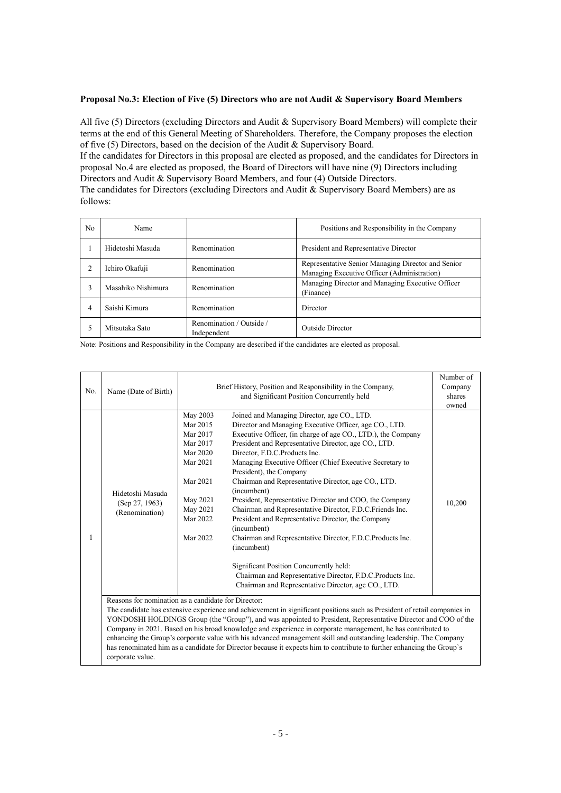### **Proposal No.3: Election of Five (5) Directors who are not Audit & Supervisory Board Members**

All five (5) Directors (excluding Directors and Audit & Supervisory Board Members) will complete their terms at the end of this General Meeting of Shareholders. Therefore, the Company proposes the election of five (5) Directors, based on the decision of the Audit & Supervisory Board.

If the candidates for Directors in this proposal are elected as proposed, and the candidates for Directors in proposal No.4 are elected as proposed, the Board of Directors will have nine (9) Directors including Directors and Audit & Supervisory Board Members, and four (4) Outside Directors. The candidates for Directors (excluding Directors and Audit & Supervisory Board Members) are as follows:

| N <sub>0</sub> | Name               |                                         | Positions and Responsibility in the Company                                                       |
|----------------|--------------------|-----------------------------------------|---------------------------------------------------------------------------------------------------|
|                | Hidetoshi Masuda   | Renomination                            | President and Representative Director                                                             |
|                | Ichiro Okafuji     | Renomination                            | Representative Senior Managing Director and Senior<br>Managing Executive Officer (Administration) |
|                | Masahiko Nishimura | Renomination                            | Managing Director and Managing Executive Officer<br>(Finance)                                     |
| 4              | Saishi Kimura      | Renomination                            | Director                                                                                          |
|                | Mitsutaka Sato     | Renomination / Outside /<br>Independent | Outside Director                                                                                  |

Note: Positions and Responsibility in the Company are described if the candidates are elected as proposal.

|     |                                                      |                                                                                                                                  |                                                                                                                                                                                                                                                                                                                                                                                                                                                                                                                                                                                                                                                                                                                                                                                                             | Number of |  |  |  |
|-----|------------------------------------------------------|----------------------------------------------------------------------------------------------------------------------------------|-------------------------------------------------------------------------------------------------------------------------------------------------------------------------------------------------------------------------------------------------------------------------------------------------------------------------------------------------------------------------------------------------------------------------------------------------------------------------------------------------------------------------------------------------------------------------------------------------------------------------------------------------------------------------------------------------------------------------------------------------------------------------------------------------------------|-----------|--|--|--|
|     |                                                      | Brief History, Position and Responsibility in the Company,                                                                       |                                                                                                                                                                                                                                                                                                                                                                                                                                                                                                                                                                                                                                                                                                                                                                                                             |           |  |  |  |
| No. | Name (Date of Birth)                                 |                                                                                                                                  | Company<br>shares                                                                                                                                                                                                                                                                                                                                                                                                                                                                                                                                                                                                                                                                                                                                                                                           |           |  |  |  |
|     |                                                      |                                                                                                                                  | and Significant Position Concurrently held                                                                                                                                                                                                                                                                                                                                                                                                                                                                                                                                                                                                                                                                                                                                                                  |           |  |  |  |
|     | Hidetoshi Masuda<br>(Sep 27, 1963)<br>(Renomination) | May 2003<br>Mar 2015<br>Mar 2017<br>Mar 2017<br>Mar 2020<br>Mar 2021<br>Mar 2021<br>May 2021<br>May 2021<br>Mar 2022<br>Mar 2022 | Joined and Managing Director, age CO., LTD.<br>Director and Managing Executive Officer, age CO., LTD.<br>Executive Officer, (in charge of age CO., LTD.), the Company<br>President and Representative Director, age CO., LTD.<br>Director, F.D.C.Products Inc.<br>Managing Executive Officer (Chief Executive Secretary to<br>President), the Company<br>Chairman and Representative Director, age CO., LTD.<br>(incumbent)<br>President, Representative Director and COO, the Company<br>Chairman and Representative Director, F.D.C.Friends Inc.<br>President and Representative Director, the Company<br>(incumbent)<br>Chairman and Representative Director, F.D.C.Products Inc.<br>(incumbent)<br>Significant Position Concurrently held:<br>Chairman and Representative Director, F.D.C.Products Inc. |           |  |  |  |
|     | Chairman and Representative Director, age CO., LTD.  |                                                                                                                                  |                                                                                                                                                                                                                                                                                                                                                                                                                                                                                                                                                                                                                                                                                                                                                                                                             |           |  |  |  |
|     | Reasons for nomination as a candidate for Director:  |                                                                                                                                  |                                                                                                                                                                                                                                                                                                                                                                                                                                                                                                                                                                                                                                                                                                                                                                                                             |           |  |  |  |
|     |                                                      |                                                                                                                                  | The candidate has extensive experience and achievement in significant positions such as President of retail companies in                                                                                                                                                                                                                                                                                                                                                                                                                                                                                                                                                                                                                                                                                    |           |  |  |  |
|     |                                                      |                                                                                                                                  | YONDOSHI HOLDINGS Group (the "Group"), and was appointed to President, Representative Director and COO of the                                                                                                                                                                                                                                                                                                                                                                                                                                                                                                                                                                                                                                                                                               |           |  |  |  |
|     |                                                      |                                                                                                                                  | Company in 2021. Based on his broad knowledge and experience in corporate management, he has contributed to                                                                                                                                                                                                                                                                                                                                                                                                                                                                                                                                                                                                                                                                                                 |           |  |  |  |
|     |                                                      |                                                                                                                                  | enhancing the Group's corporate value with his advanced management skill and outstanding leadership. The Company                                                                                                                                                                                                                                                                                                                                                                                                                                                                                                                                                                                                                                                                                            |           |  |  |  |
|     |                                                      |                                                                                                                                  | has renominated him as a candidate for Director because it expects him to contribute to further enhancing the Group's                                                                                                                                                                                                                                                                                                                                                                                                                                                                                                                                                                                                                                                                                       |           |  |  |  |
|     | corporate value.                                     |                                                                                                                                  |                                                                                                                                                                                                                                                                                                                                                                                                                                                                                                                                                                                                                                                                                                                                                                                                             |           |  |  |  |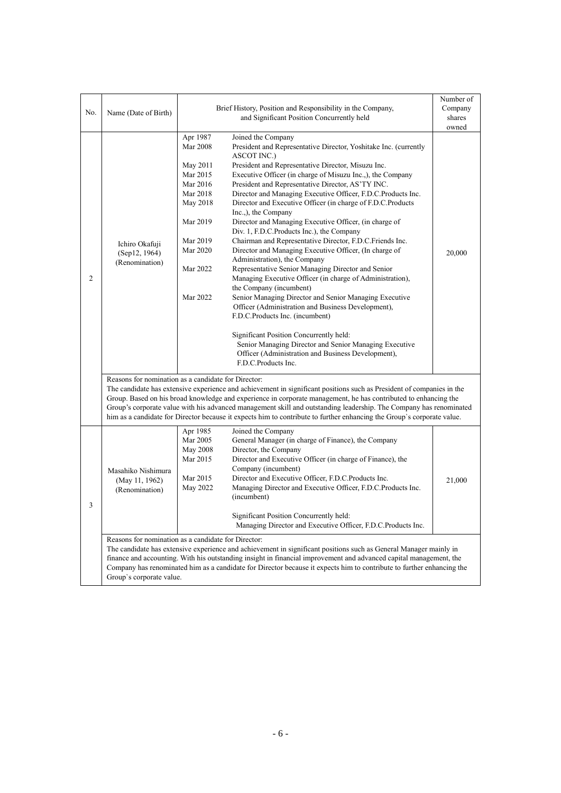| No.            |                                                                                                                                                                                                                                                                                                                                                                                                                                                     | Brief History, Position and Responsibility in the Company,                                                                                                                                                                                                                                                                                                                                                                                                                                                                                                                                                                                                                                                                                                                                                                                                                                                                                                                                                                                                                                                                                                                                                                                                                                                                                         |                 |  |  |  |  |  |
|----------------|-----------------------------------------------------------------------------------------------------------------------------------------------------------------------------------------------------------------------------------------------------------------------------------------------------------------------------------------------------------------------------------------------------------------------------------------------------|----------------------------------------------------------------------------------------------------------------------------------------------------------------------------------------------------------------------------------------------------------------------------------------------------------------------------------------------------------------------------------------------------------------------------------------------------------------------------------------------------------------------------------------------------------------------------------------------------------------------------------------------------------------------------------------------------------------------------------------------------------------------------------------------------------------------------------------------------------------------------------------------------------------------------------------------------------------------------------------------------------------------------------------------------------------------------------------------------------------------------------------------------------------------------------------------------------------------------------------------------------------------------------------------------------------------------------------------------|-----------------|--|--|--|--|--|
|                | Name (Date of Birth)                                                                                                                                                                                                                                                                                                                                                                                                                                | and Significant Position Concurrently held                                                                                                                                                                                                                                                                                                                                                                                                                                                                                                                                                                                                                                                                                                                                                                                                                                                                                                                                                                                                                                                                                                                                                                                                                                                                                                         | shares<br>owned |  |  |  |  |  |
| $\overline{c}$ | Ichiro Okafuji<br>(Sep12, 1964)<br>(Renomination)                                                                                                                                                                                                                                                                                                                                                                                                   | Apr 1987<br>Joined the Company<br><b>Mar 2008</b><br>President and Representative Director, Yoshitake Inc. (currently<br><b>ASCOT INC.)</b><br>President and Representative Director, Misuzu Inc.<br>May 2011<br>Executive Officer (in charge of Misuzu Inc.,), the Company<br>Mar 2015<br>Mar 2016<br>President and Representative Director, AS'TY INC.<br>Mar 2018<br>Director and Managing Executive Officer, F.D.C.Products Inc.<br>Director and Executive Officer (in charge of F.D.C.Products<br>May 2018<br>Inc.,), the Company<br>Mar 2019<br>Director and Managing Executive Officer, (in charge of<br>Div. 1, F.D.C.Products Inc.), the Company<br>Chairman and Representative Director, F.D.C.Friends Inc.<br>Mar 2019<br>Mar 2020<br>Director and Managing Executive Officer, (In charge of<br>Administration), the Company<br>Representative Senior Managing Director and Senior<br>Mar 2022<br>Managing Executive Officer (in charge of Administration),<br>the Company (incumbent)<br>Mar 2022<br>Senior Managing Director and Senior Managing Executive<br>Officer (Administration and Business Development),<br>F.D.C.Products Inc. (incumbent)<br>Significant Position Concurrently held:<br>Senior Managing Director and Senior Managing Executive<br>Officer (Administration and Business Development),<br>F.D.C.Products Inc. | 20,000          |  |  |  |  |  |
|                |                                                                                                                                                                                                                                                                                                                                                                                                                                                     | Reasons for nomination as a candidate for Director:<br>The candidate has extensive experience and achievement in significant positions such as President of companies in the<br>Group. Based on his broad knowledge and experience in corporate management, he has contributed to enhancing the                                                                                                                                                                                                                                                                                                                                                                                                                                                                                                                                                                                                                                                                                                                                                                                                                                                                                                                                                                                                                                                    |                 |  |  |  |  |  |
|                |                                                                                                                                                                                                                                                                                                                                                                                                                                                     | Group's corporate value with his advanced management skill and outstanding leadership. The Company has renominated<br>him as a candidate for Director because it expects him to contribute to further enhancing the Group's corporate value.                                                                                                                                                                                                                                                                                                                                                                                                                                                                                                                                                                                                                                                                                                                                                                                                                                                                                                                                                                                                                                                                                                       |                 |  |  |  |  |  |
| 3              | Masahiko Nishimura<br>(May 11, 1962)<br>(Renomination)                                                                                                                                                                                                                                                                                                                                                                                              | Apr 1985<br>Joined the Company<br>Mar 2005<br>General Manager (in charge of Finance), the Company<br>Director, the Company<br>May 2008<br>Mar 2015<br>Director and Executive Officer (in charge of Finance), the<br>Company (incumbent)<br>Mar 2015<br>Director and Executive Officer, F.D.C.Products Inc.<br>May 2022<br>Managing Director and Executive Officer, F.D.C.Products Inc.<br>(incumbent)<br>Significant Position Concurrently held:<br>Managing Director and Executive Officer, F.D.C.Products Inc.                                                                                                                                                                                                                                                                                                                                                                                                                                                                                                                                                                                                                                                                                                                                                                                                                                   | 21,000          |  |  |  |  |  |
|                | Reasons for nomination as a candidate for Director:<br>The candidate has extensive experience and achievement in significant positions such as General Manager mainly in<br>finance and accounting. With his outstanding insight in financial improvement and advanced capital management, the<br>Company has renominated him as a candidate for Director because it expects him to contribute to further enhancing the<br>Group's corporate value. |                                                                                                                                                                                                                                                                                                                                                                                                                                                                                                                                                                                                                                                                                                                                                                                                                                                                                                                                                                                                                                                                                                                                                                                                                                                                                                                                                    |                 |  |  |  |  |  |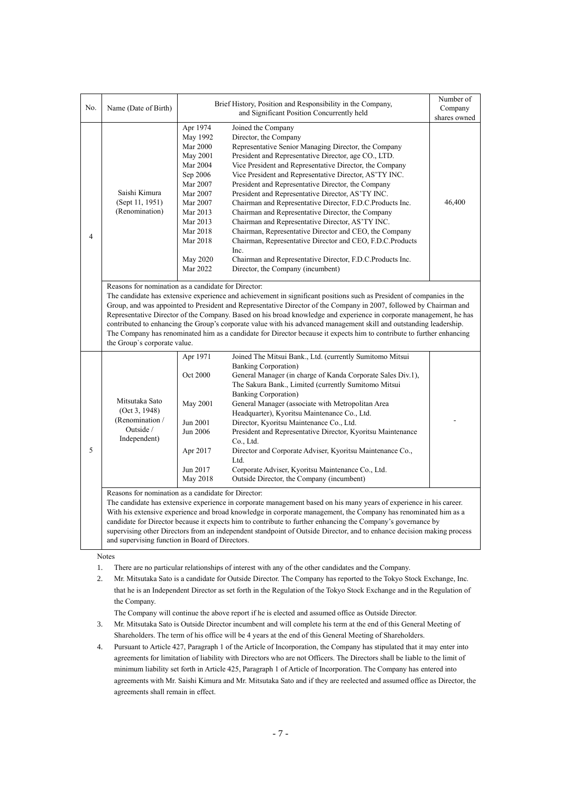| No. | Name (Date of Birth)                                                                                                                                                                                                                                                                                                                                                                                                                                                                                                                                                                                                                                                                                                                                                                                                                   | Brief History, Position and Responsibility in the Company,                                                                                                                              | Number of<br>Company<br>shares owned                                                                                                                                                                                                                                                                                                                                                                                                                                                                                                                                                                                                                                                                                                                                                               |        |  |  |  |
|-----|----------------------------------------------------------------------------------------------------------------------------------------------------------------------------------------------------------------------------------------------------------------------------------------------------------------------------------------------------------------------------------------------------------------------------------------------------------------------------------------------------------------------------------------------------------------------------------------------------------------------------------------------------------------------------------------------------------------------------------------------------------------------------------------------------------------------------------------|-----------------------------------------------------------------------------------------------------------------------------------------------------------------------------------------|----------------------------------------------------------------------------------------------------------------------------------------------------------------------------------------------------------------------------------------------------------------------------------------------------------------------------------------------------------------------------------------------------------------------------------------------------------------------------------------------------------------------------------------------------------------------------------------------------------------------------------------------------------------------------------------------------------------------------------------------------------------------------------------------------|--------|--|--|--|
| 4   | Saishi Kimura<br>(Sept 11, 1951)<br>(Renomination)                                                                                                                                                                                                                                                                                                                                                                                                                                                                                                                                                                                                                                                                                                                                                                                     | Apr 1974<br>May 1992<br><b>Mar 2000</b><br>May 2001<br>Mar 2004<br>Sep 2006<br>Mar 2007<br>Mar 2007<br>Mar 2007<br>Mar 2013<br>Mar 2013<br>Mar 2018<br>Mar 2018<br>May 2020<br>Mar 2022 | Joined the Company<br>Director, the Company<br>Representative Senior Managing Director, the Company<br>President and Representative Director, age CO., LTD.<br>Vice President and Representative Director, the Company<br>Vice President and Representative Director, AS'TY INC.<br>President and Representative Director, the Company<br>President and Representative Director, AS'TY INC.<br>Chairman and Representative Director, F.D.C.Products Inc.<br>Chairman and Representative Director, the Company<br>Chairman and Representative Director, AS'TY INC.<br>Chairman, Representative Director and CEO, the Company<br>Chairman, Representative Director and CEO, F.D.C.Products<br>Inc.<br>Chairman and Representative Director, F.D.C.Products Inc.<br>Director, the Company (incumbent) | 46,400 |  |  |  |
|     | Reasons for nomination as a candidate for Director:<br>the Group's corporate value.                                                                                                                                                                                                                                                                                                                                                                                                                                                                                                                                                                                                                                                                                                                                                    |                                                                                                                                                                                         | The candidate has extensive experience and achievement in significant positions such as President of companies in the<br>Group, and was appointed to President and Representative Director of the Company in 2007, followed by Chairman and<br>Representative Director of the Company. Based on his broad knowledge and experience in corporate management, he has<br>contributed to enhancing the Group's corporate value with his advanced management skill and outstanding leadership.<br>The Company has renominated him as a candidate for Director because it expects him to contribute to further enhancing                                                                                                                                                                                 |        |  |  |  |
| 5   | Apr 1971<br>Joined The Mitsui Bank., Ltd. (currently Sumitomo Mitsui<br><b>Banking Corporation</b> )<br>Oct 2000<br>General Manager (in charge of Kanda Corporate Sales Div.1),<br>The Sakura Bank., Limited (currently Sumitomo Mitsui<br><b>Banking Corporation</b> )<br>Mitsutaka Sato<br>May 2001<br>General Manager (associate with Metropolitan Area<br>(Oct 3, 1948)<br>Headquarter), Kyoritsu Maintenance Co., Ltd.<br>(Renomination /<br>Jun 2001<br>Director, Kyoritsu Maintenance Co., Ltd.<br>Outside /<br>Jun 2006<br>President and Representative Director, Kyoritsu Maintenance<br>Independent)<br>Co., Ltd.<br>Director and Corporate Adviser, Kyoritsu Maintenance Co.,<br>Apr 2017<br>Ltd.<br>Jun 2017<br>Corporate Adviser, Kyoritsu Maintenance Co., Ltd.<br>Outside Director, the Company (incumbent)<br>May 2018 |                                                                                                                                                                                         |                                                                                                                                                                                                                                                                                                                                                                                                                                                                                                                                                                                                                                                                                                                                                                                                    |        |  |  |  |
|     | Reasons for nomination as a candidate for Director:<br>The candidate has extensive experience in corporate management based on his many years of experience in his career.<br>With his extensive experience and broad knowledge in corporate management, the Company has renominated him as a<br>candidate for Director because it expects him to contribute to further enhancing the Company's governance by<br>supervising other Directors from an independent standpoint of Outside Director, and to enhance decision making process<br>and supervising function in Board of Directors.<br><b>Notes</b>                                                                                                                                                                                                                             |                                                                                                                                                                                         |                                                                                                                                                                                                                                                                                                                                                                                                                                                                                                                                                                                                                                                                                                                                                                                                    |        |  |  |  |

1. There are no particular relationships of interest with any of the other candidates and the Company.

2. Mr. Mitsutaka Sato is a candidate for Outside Director. The Company has reported to the Tokyo Stock Exchange, Inc. that he is an Independent Director as set forth in the Regulation of the Tokyo Stock Exchange and in the Regulation of the Company.

The Company will continue the above report if he is elected and assumed office as Outside Director.

- 3. Mr. Mitsutaka Sato is Outside Director incumbent and will complete his term at the end of this General Meeting of Shareholders. The term of his office will be 4 years at the end of this General Meeting of Shareholders.
- 4. Pursuant to Article 427, Paragraph 1 of the Article of Incorporation, the Company has stipulated that it may enter into agreements for limitation of liability with Directors who are not Officers. The Directors shall be liable to the limit of minimum liability set forth in Article 425, Paragraph 1 of Article of Incorporation. The Company has entered into agreements with Mr. Saishi Kimura and Mr. Mitsutaka Sato and if they are reelected and assumed office as Director, the agreements shall remain in effect.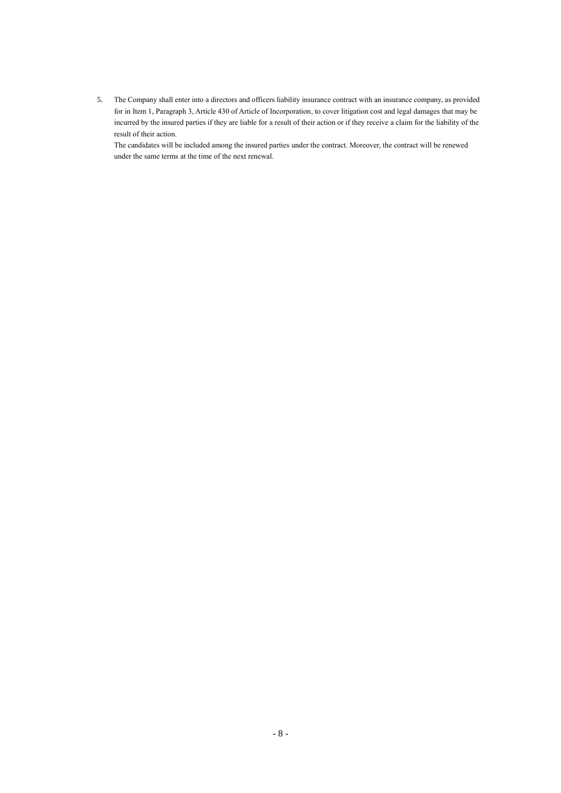5. The Company shall enter into a directors and officers liability insurance contract with an insurance company, as provided for in Item 1, Paragraph 3, Article 430 of Article of Incorporation, to cover litigation cost and legal damages that may be incurred by the insured parties if they are liable for a result of their action or if they receive a claim for the liability of the result of their action.

The candidates will be included among the insured parties under the contract. Moreover, the contract will be renewed under the same terms at the time of the next renewal.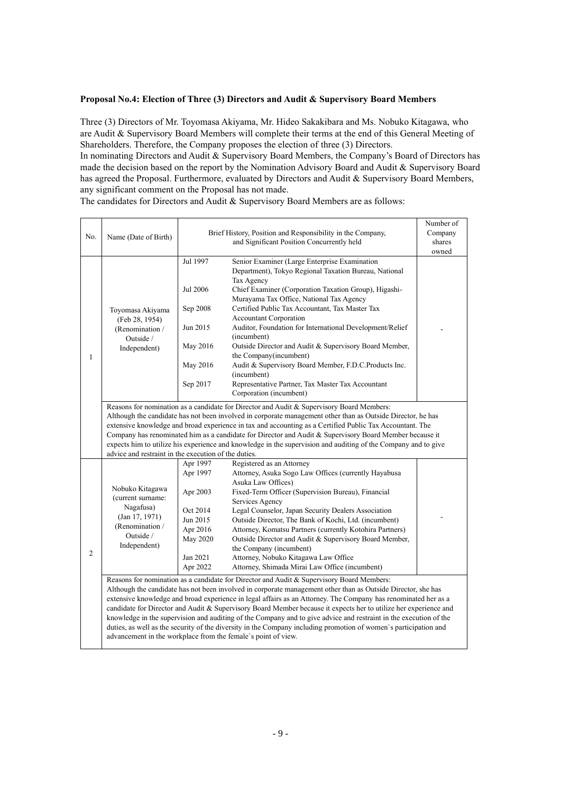### **Proposal No.4: Election of Three (3) Directors and Audit & Supervisory Board Members**

Three (3) Directors of Mr. Toyomasa Akiyama, Mr. Hideo Sakakibara and Ms. Nobuko Kitagawa, who are Audit & Supervisory Board Members will complete their terms at the end of this General Meeting of Shareholders. Therefore, the Company proposes the election of three (3) Directors.

In nominating Directors and Audit & Supervisory Board Members, the Company's Board of Directors has made the decision based on the report by the Nomination Advisory Board and Audit & Supervisory Board has agreed the Proposal. Furthermore, evaluated by Directors and Audit & Supervisory Board Members, any significant comment on the Proposal has not made.

The candidates for Directors and Audit & Supervisory Board Members are as follows:

|                                                                                                                                                                        |                                                               |                                                                                                                   |                                                                                                                                                                                                                     | Number of |  |  |  |  |
|------------------------------------------------------------------------------------------------------------------------------------------------------------------------|---------------------------------------------------------------|-------------------------------------------------------------------------------------------------------------------|---------------------------------------------------------------------------------------------------------------------------------------------------------------------------------------------------------------------|-----------|--|--|--|--|
| No.                                                                                                                                                                    |                                                               | Brief History, Position and Responsibility in the Company,                                                        | Company                                                                                                                                                                                                             |           |  |  |  |  |
|                                                                                                                                                                        | Name (Date of Birth)                                          |                                                                                                                   | shares                                                                                                                                                                                                              |           |  |  |  |  |
|                                                                                                                                                                        |                                                               |                                                                                                                   |                                                                                                                                                                                                                     |           |  |  |  |  |
|                                                                                                                                                                        |                                                               | Jul 1997                                                                                                          | Senior Examiner (Large Enterprise Examination                                                                                                                                                                       |           |  |  |  |  |
|                                                                                                                                                                        |                                                               |                                                                                                                   | Department), Tokyo Regional Taxation Bureau, National                                                                                                                                                               |           |  |  |  |  |
|                                                                                                                                                                        |                                                               |                                                                                                                   | Tax Agency                                                                                                                                                                                                          |           |  |  |  |  |
|                                                                                                                                                                        |                                                               | Jul 2006                                                                                                          | Chief Examiner (Corporation Taxation Group), Higashi-                                                                                                                                                               |           |  |  |  |  |
|                                                                                                                                                                        |                                                               |                                                                                                                   | Murayama Tax Office, National Tax Agency                                                                                                                                                                            |           |  |  |  |  |
|                                                                                                                                                                        | Toyomasa Akiyama                                              | Sep 2008                                                                                                          | Certified Public Tax Accountant, Tax Master Tax                                                                                                                                                                     |           |  |  |  |  |
|                                                                                                                                                                        | (Feb 28, 1954)                                                |                                                                                                                   | <b>Accountant Corporation</b>                                                                                                                                                                                       |           |  |  |  |  |
|                                                                                                                                                                        | (Renomination /                                               | Jun 2015                                                                                                          | Auditor, Foundation for International Development/Relief                                                                                                                                                            |           |  |  |  |  |
|                                                                                                                                                                        | Outside /                                                     |                                                                                                                   | (incumbent)                                                                                                                                                                                                         |           |  |  |  |  |
|                                                                                                                                                                        | Independent)                                                  | May 2016                                                                                                          | Outside Director and Audit & Supervisory Board Member,                                                                                                                                                              |           |  |  |  |  |
| 1                                                                                                                                                                      |                                                               | May 2016                                                                                                          | the Company(incumbent)<br>Audit & Supervisory Board Member, F.D.C.Products Inc.                                                                                                                                     |           |  |  |  |  |
|                                                                                                                                                                        |                                                               |                                                                                                                   | (incumbent)                                                                                                                                                                                                         |           |  |  |  |  |
|                                                                                                                                                                        |                                                               | Sep 2017                                                                                                          | Representative Partner, Tax Master Tax Accountant                                                                                                                                                                   |           |  |  |  |  |
|                                                                                                                                                                        |                                                               |                                                                                                                   | Corporation (incumbent)                                                                                                                                                                                             |           |  |  |  |  |
|                                                                                                                                                                        |                                                               |                                                                                                                   |                                                                                                                                                                                                                     |           |  |  |  |  |
|                                                                                                                                                                        |                                                               | Reasons for nomination as a candidate for Director and Audit & Supervisory Board Members:                         |                                                                                                                                                                                                                     |           |  |  |  |  |
|                                                                                                                                                                        |                                                               |                                                                                                                   | Although the candidate has not been involved in corporate management other than as Outside Director, he has                                                                                                         |           |  |  |  |  |
|                                                                                                                                                                        |                                                               |                                                                                                                   | extensive knowledge and broad experience in tax and accounting as a Certified Public Tax Accountant. The<br>Company has renominated him as a candidate for Director and Audit & Supervisory Board Member because it |           |  |  |  |  |
|                                                                                                                                                                        |                                                               |                                                                                                                   |                                                                                                                                                                                                                     |           |  |  |  |  |
| expects him to utilize his experience and knowledge in the supervision and auditing of the Company and to give<br>advice and restraint in the execution of the duties. |                                                               |                                                                                                                   |                                                                                                                                                                                                                     |           |  |  |  |  |
|                                                                                                                                                                        |                                                               | Apr 1997                                                                                                          | Registered as an Attorney                                                                                                                                                                                           |           |  |  |  |  |
|                                                                                                                                                                        |                                                               | Apr 1997                                                                                                          | Attorney, Asuka Sogo Law Offices (currently Hayabusa                                                                                                                                                                |           |  |  |  |  |
|                                                                                                                                                                        |                                                               |                                                                                                                   | Asuka Law Offices)                                                                                                                                                                                                  |           |  |  |  |  |
|                                                                                                                                                                        | Nobuko Kitagawa                                               | Apr 2003                                                                                                          | Fixed-Term Officer (Supervision Bureau), Financial                                                                                                                                                                  |           |  |  |  |  |
|                                                                                                                                                                        | (current surname:                                             |                                                                                                                   | Services Agency                                                                                                                                                                                                     |           |  |  |  |  |
|                                                                                                                                                                        | Nagafusa)                                                     | Oct 2014                                                                                                          | Legal Counselor, Japan Security Dealers Association                                                                                                                                                                 |           |  |  |  |  |
|                                                                                                                                                                        | (Jan 17, 1971)                                                | Jun 2015                                                                                                          | Outside Director, The Bank of Kochi, Ltd. (incumbent)                                                                                                                                                               |           |  |  |  |  |
|                                                                                                                                                                        | (Renomination /                                               | Apr 2016                                                                                                          | Attorney, Komatsu Partners (currently Kotohira Partners)                                                                                                                                                            |           |  |  |  |  |
|                                                                                                                                                                        | Outside /                                                     | May 2020                                                                                                          | Outside Director and Audit & Supervisory Board Member,                                                                                                                                                              |           |  |  |  |  |
| 2                                                                                                                                                                      | Independent)                                                  |                                                                                                                   | the Company (incumbent)                                                                                                                                                                                             |           |  |  |  |  |
|                                                                                                                                                                        |                                                               | Jan 2021                                                                                                          | Attorney, Nobuko Kitagawa Law Office                                                                                                                                                                                |           |  |  |  |  |
|                                                                                                                                                                        |                                                               | Apr 2022                                                                                                          | Attorney, Shimada Mirai Law Office (incumbent)                                                                                                                                                                      |           |  |  |  |  |
|                                                                                                                                                                        |                                                               |                                                                                                                   | Reasons for nomination as a candidate for Director and Audit & Supervisory Board Members:                                                                                                                           |           |  |  |  |  |
|                                                                                                                                                                        |                                                               |                                                                                                                   | Although the candidate has not been involved in corporate management other than as Outside Director, she has                                                                                                        |           |  |  |  |  |
|                                                                                                                                                                        |                                                               |                                                                                                                   | extensive knowledge and broad experience in legal affairs as an Attorney. The Company has renominated her as a                                                                                                      |           |  |  |  |  |
|                                                                                                                                                                        |                                                               |                                                                                                                   | candidate for Director and Audit & Supervisory Board Member because it expects her to utilize her experience and                                                                                                    |           |  |  |  |  |
|                                                                                                                                                                        |                                                               | knowledge in the supervision and auditing of the Company and to give advice and restraint in the execution of the |                                                                                                                                                                                                                     |           |  |  |  |  |
|                                                                                                                                                                        |                                                               | duties, as well as the security of the diversity in the Company including promotion of women's participation and  |                                                                                                                                                                                                                     |           |  |  |  |  |
|                                                                                                                                                                        | advancement in the workplace from the female's point of view. |                                                                                                                   |                                                                                                                                                                                                                     |           |  |  |  |  |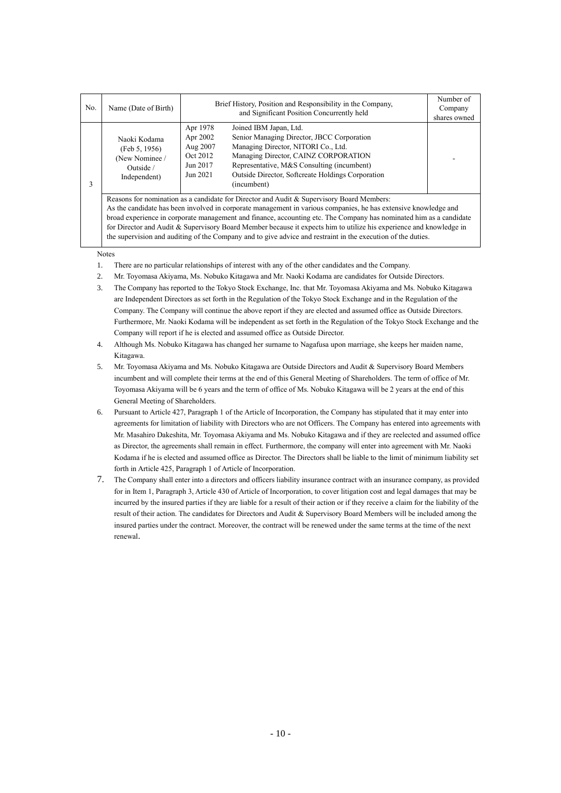| No. | Name (Date of Birth)                                                                                                                                                                                                                                                                                                                                                                                                                                                                                                                                                      | Brief History, Position and Responsibility in the Company,<br>and Significant Position Concurrently held                                                                                                                                                                                                                                      | Number of<br>Company<br>shares owned |  |  |  |  |
|-----|---------------------------------------------------------------------------------------------------------------------------------------------------------------------------------------------------------------------------------------------------------------------------------------------------------------------------------------------------------------------------------------------------------------------------------------------------------------------------------------------------------------------------------------------------------------------------|-----------------------------------------------------------------------------------------------------------------------------------------------------------------------------------------------------------------------------------------------------------------------------------------------------------------------------------------------|--------------------------------------|--|--|--|--|
| 3   | Naoki Kodama<br>(Feb 5, 1956)<br>(New Nominee /<br>Outside /<br>Independent)                                                                                                                                                                                                                                                                                                                                                                                                                                                                                              | Apr 1978<br>Joined IBM Japan, Ltd.<br>Senior Managing Director, JBCC Corporation<br>Apr 2002<br>Managing Director, NITORI Co., Ltd.<br>Aug 2007<br>Managing Director, CAINZ CORPORATION<br>Oct 2012<br>Representative, M&S Consulting (incumbent)<br>Jun 2017<br>Outside Director, Softcreate Holdings Corporation<br>Jun 2021<br>(incumbent) |                                      |  |  |  |  |
|     | Reasons for nomination as a candidate for Director and Audit & Supervisory Board Members:<br>As the candidate has been involved in corporate management in various companies, he has extensive knowledge and<br>broad experience in corporate management and finance, accounting etc. The Company has nominated him as a candidate<br>for Director and Audit & Supervisory Board Member because it expects him to utilize his experience and knowledge in<br>the supervision and auditing of the Company and to give advice and restraint in the execution of the duties. |                                                                                                                                                                                                                                                                                                                                               |                                      |  |  |  |  |

Notes

- 1. There are no particular relationships of interest with any of the other candidates and the Company.
- 2. Mr. Toyomasa Akiyama, Ms. Nobuko Kitagawa and Mr. Naoki Kodama are candidates for Outside Directors.
- 3. The Company has reported to the Tokyo Stock Exchange, Inc. that Mr. Toyomasa Akiyama and Ms. Nobuko Kitagawa are Independent Directors as set forth in the Regulation of the Tokyo Stock Exchange and in the Regulation of the Company. The Company will continue the above report if they are elected and assumed office as Outside Directors. Furthermore, Mr. Naoki Kodama will be independent as set forth in the Regulation of the Tokyo Stock Exchange and the Company will report if he is elected and assumed office as Outside Director.
- 4. Although Ms. Nobuko Kitagawa has changed her surname to Nagafusa upon marriage, she keeps her maiden name, Kitagawa.
- 5. Mr. Toyomasa Akiyama and Ms. Nobuko Kitagawa are Outside Directors and Audit & Supervisory Board Members incumbent and will complete their terms at the end of this General Meeting of Shareholders. The term of office of Mr. Toyomasa Akiyama will be 6 years and the term of office of Ms. Nobuko Kitagawa will be 2 years at the end of this General Meeting of Shareholders.
- 6. Pursuant to Article 427, Paragraph 1 of the Article of Incorporation, the Company has stipulated that it may enter into agreements for limitation of liability with Directors who are not Officers. The Company has entered into agreements with Mr. Masahiro Dakeshita, Mr. Toyomasa Akiyama and Ms. Nobuko Kitagawa and if they are reelected and assumed office as Director, the agreements shall remain in effect. Furthermore, the company will enter into agreement with Mr. Naoki Kodama if he is elected and assumed office as Director. The Directors shall be liable to the limit of minimum liability set forth in Article 425, Paragraph 1 of Article of Incorporation.
- 7. The Company shall enter into a directors and officers liability insurance contract with an insurance company, as provided for in Item 1, Paragraph 3, Article 430 of Article of Incorporation, to cover litigation cost and legal damages that may be incurred by the insured parties if they are liable for a result of their action or if they receive a claim for the liability of the result of their action. The candidates for Directors and Audit & Supervisory Board Members will be included among the insured parties under the contract. Moreover, the contract will be renewed under the same terms at the time of the next renewal.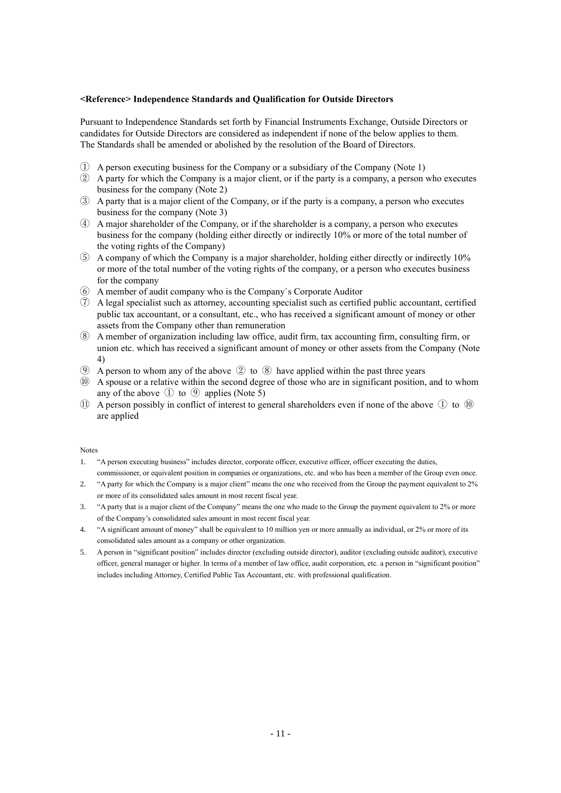### **<Reference> Independence Standards and Qualification for Outside Directors**

Pursuant to Independence Standards set forth by Financial Instruments Exchange, Outside Directors or candidates for Outside Directors are considered as independent if none of the below applies to them. The Standards shall be amended or abolished by the resolution of the Board of Directors.

- ① A person executing business for the Company or a subsidiary of the Company (Note 1)
- ② A party for which the Company is a major client, or if the party is a company, a person who executes business for the company (Note 2)
- ③ A party that is a major client of the Company, or if the party is a company, a person who executes business for the company (Note 3)
- ④ A major shareholder of the Company, or if the shareholder is a company, a person who executes business for the company (holding either directly or indirectly 10% or more of the total number of the voting rights of the Company)
- ⑤ A company of which the Company is a major shareholder, holding either directly or indirectly 10% or more of the total number of the voting rights of the company, or a person who executes business for the company
- ⑥ A member of audit company who is the Company`s Corporate Auditor
- ⑦ A legal specialist such as attorney, accounting specialist such as certified public accountant, certified public tax accountant, or a consultant, etc., who has received a significant amount of money or other assets from the Company other than remuneration
- ⑧ A member of organization including law office, audit firm, tax accounting firm, consulting firm, or union etc. which has received a significant amount of money or other assets from the Company (Note 4)
- **(9)** A person to whom any of the above  $(2)$  to  $(8)$  have applied within the past three years
- ⑩ A spouse or a relative within the second degree of those who are in significant position, and to whom any of the above  $\odot$  to  $\odot$  applies (Note 5)
- ⑪ A person possibly in conflict of interest to general shareholders even if none of the above ① to ⑩ are applied

#### Notes

- 1. "A person executing business" includes director, corporate officer, executive officer, officer executing the duties, commissioner, or equivalent position in companies or organizations, etc. and who has been a member of the Group even once.
- 2. "A party for which the Company is a major client" means the one who received from the Group the payment equivalent to 2% or more of its consolidated sales amount in most recent fiscal year.
- 3. "A party that is a major client of the Company" means the one who made to the Group the payment equivalent to 2% or more of the Company's consolidated sales amount in most recent fiscal year.
- 4. "A significant amount of money" shall be equivalent to 10 million yen or more annually as individual, or 2% or more of its consolidated sales amount as a company or other organization.
- 5. A person in "significant position" includes director (excluding outside director), auditor (excluding outside auditor), executive officer, general manager or higher. In terms of a member of law office, audit corporation, etc. a person in "significant position" includes including Attorney, Certified Public Tax Accountant, etc. with professional qualification.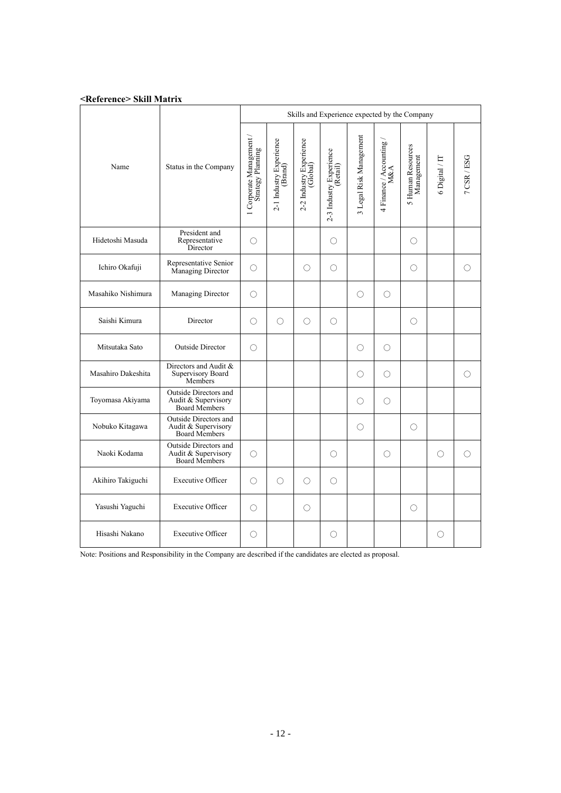|                    |                                                                      | Skills and Experience expected by the Company |                                    |                                     |                                     |                         |                            |                                 |                |             |  |
|--------------------|----------------------------------------------------------------------|-----------------------------------------------|------------------------------------|-------------------------------------|-------------------------------------|-------------------------|----------------------------|---------------------------------|----------------|-------------|--|
| Name               | Status in the Company                                                | 1 Corporate Management<br>Strategy Planning   | 2-1 Industry Experience<br>(Brand) | 2-2 Industry Experience<br>(Global) | 2-3 Industry Experience<br>(Retail) | 3 Legal Risk Management | $4$ Finance / Accounting . | 5 Human Resources<br>Management | 6 Digital / IT | 7 CSR / ESG |  |
| Hidetoshi Masuda   | President and<br>Representative<br>Director                          | О                                             |                                    |                                     | ◯                                   |                         |                            | $\bigcirc$                      |                |             |  |
| Ichiro Okafuji     | Representative Senior<br>Managing Director                           | О                                             |                                    | O                                   | O                                   |                         |                            | $\bigcirc$                      |                | O           |  |
| Masahiko Nishimura | Managing Director                                                    | О                                             |                                    |                                     |                                     | $\bigcirc$              | О                          |                                 |                |             |  |
| Saishi Kimura      | Director                                                             | Ω                                             | O                                  | ∩                                   | O                                   |                         |                            | O                               |                |             |  |
| Mitsutaka Sato     | <b>Outside Director</b>                                              | Ω                                             |                                    |                                     |                                     | ∩                       | Ω                          |                                 |                |             |  |
| Masahiro Dakeshita | Directors and Audit &<br>Supervisory Board<br>Members                |                                               |                                    |                                     |                                     | ∩                       | O                          |                                 |                | O           |  |
| Toyomasa Akiyama   | Outside Directors and<br>Audit & Supervisory<br><b>Board Members</b> |                                               |                                    |                                     |                                     | $\bigcirc$              | О                          |                                 |                |             |  |
| Nobuko Kitagawa    | Outside Directors and<br>Audit & Supervisory<br><b>Board Members</b> |                                               |                                    |                                     |                                     | $\bigcirc$              |                            | $\bigcirc$                      |                |             |  |
| Naoki Kodama       | Outside Directors and<br>Audit & Supervisory<br>Board Members        | Ω                                             |                                    |                                     | Ω                                   |                         | Ω                          |                                 | ∩              | $\bigcirc$  |  |
| Akihiro Takiguchi  | <b>Executive Officer</b>                                             | O                                             | O                                  | О                                   | O                                   |                         |                            |                                 |                |             |  |
| Yasushi Yaguchi    | <b>Executive Officer</b>                                             | O                                             |                                    | O                                   |                                     |                         |                            | $\bigcirc$                      |                |             |  |
| Hisashi Nakano     | <b>Executive Officer</b>                                             | O                                             |                                    |                                     | ○                                   |                         |                            |                                 | O              |             |  |

Note: Positions and Responsibility in the Company are described if the candidates are elected as proposal.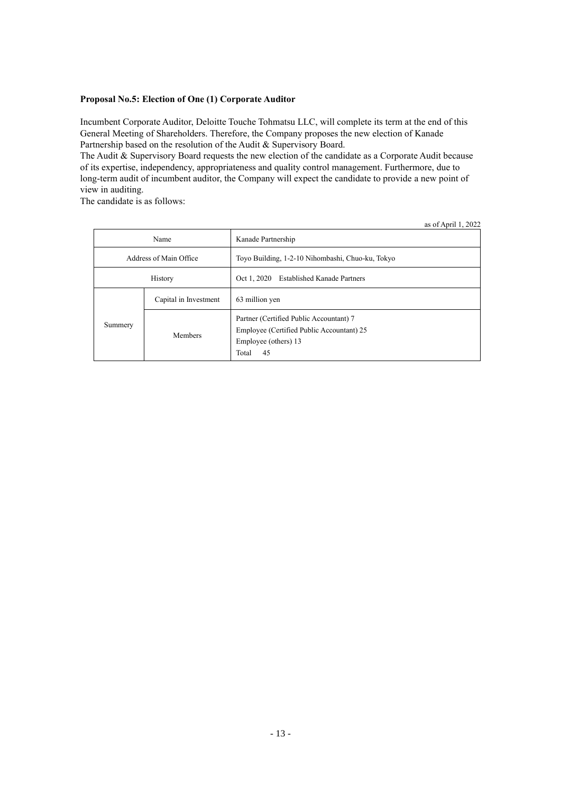## **Proposal No.5: Election of One (1) Corporate Auditor**

Incumbent Corporate Auditor, Deloitte Touche Tohmatsu LLC, will complete its term at the end of this General Meeting of Shareholders. Therefore, the Company proposes the new election of Kanade Partnership based on the resolution of the Audit & Supervisory Board.

The Audit & Supervisory Board requests the new election of the candidate as a Corporate Audit because of its expertise, independency, appropriateness and quality control management. Furthermore, due to long-term audit of incumbent auditor, the Company will expect the candidate to provide a new point of view in auditing.

The candidate is as follows:

|                        |         | as 01 April 1, $2022$                                                                                                       |
|------------------------|---------|-----------------------------------------------------------------------------------------------------------------------------|
| Name                   |         | Kanade Partnership                                                                                                          |
| Address of Main Office |         | Toyo Building, 1-2-10 Nihombashi, Chuo-ku, Tokyo                                                                            |
| History                |         | Oct 1, 2020 Established Kanade Partners                                                                                     |
| Capital in Investment  |         | 63 million yen                                                                                                              |
| Summery                | Members | Partner (Certified Public Accountant) 7<br>Employee (Certified Public Accountant) 25<br>Employee (others) 13<br>Total<br>45 |

as of April  $1, 2022$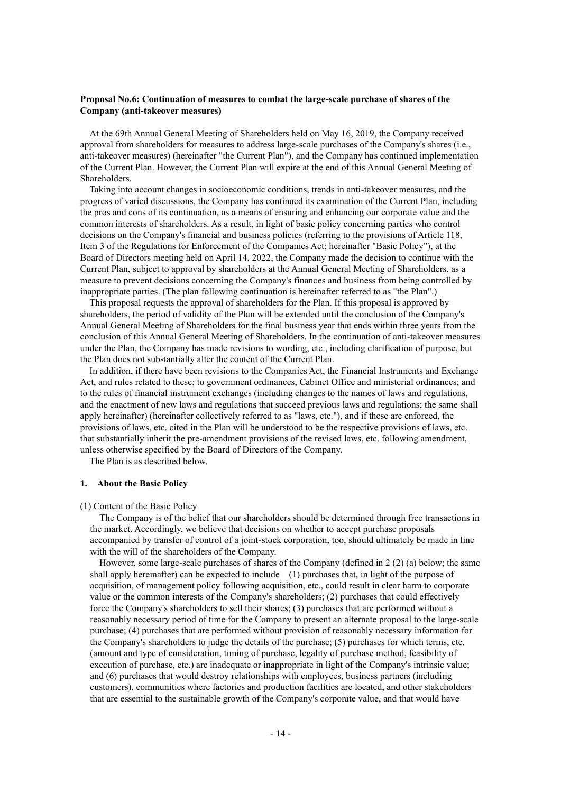### **Proposal No.6: Continuation of measures to combat the large-scale purchase of shares of the Company (anti-takeover measures)**

At the 69th Annual General Meeting of Shareholders held on May 16, 2019, the Company received approval from shareholders for measures to address large-scale purchases of the Company's shares (i.e., anti-takeover measures) (hereinafter "the Current Plan"), and the Company has continued implementation of the Current Plan. However, the Current Plan will expire at the end of this Annual General Meeting of Shareholders.

Taking into account changes in socioeconomic conditions, trends in anti-takeover measures, and the progress of varied discussions, the Company has continued its examination of the Current Plan, including the pros and cons of its continuation, as a means of ensuring and enhancing our corporate value and the common interests of shareholders. As a result, in light of basic policy concerning parties who control decisions on the Company's financial and business policies (referring to the provisions of Article 118, Item 3 of the Regulations for Enforcement of the Companies Act; hereinafter "Basic Policy"), at the Board of Directors meeting held on April 14, 2022, the Company made the decision to continue with the Current Plan, subject to approval by shareholders at the Annual General Meeting of Shareholders, as a measure to prevent decisions concerning the Company's finances and business from being controlled by inappropriate parties. (The plan following continuation is hereinafter referred to as "the Plan".)

This proposal requests the approval of shareholders for the Plan. If this proposal is approved by shareholders, the period of validity of the Plan will be extended until the conclusion of the Company's Annual General Meeting of Shareholders for the final business year that ends within three years from the conclusion of this Annual General Meeting of Shareholders. In the continuation of anti-takeover measures under the Plan, the Company has made revisions to wording, etc., including clarification of purpose, but the Plan does not substantially alter the content of the Current Plan.

In addition, if there have been revisions to the Companies Act, the Financial Instruments and Exchange Act, and rules related to these; to government ordinances, Cabinet Office and ministerial ordinances; and to the rules of financial instrument exchanges (including changes to the names of laws and regulations, and the enactment of new laws and regulations that succeed previous laws and regulations; the same shall apply hereinafter) (hereinafter collectively referred to as "laws, etc."), and if these are enforced, the provisions of laws, etc. cited in the Plan will be understood to be the respective provisions of laws, etc. that substantially inherit the pre-amendment provisions of the revised laws, etc. following amendment, unless otherwise specified by the Board of Directors of the Company.

The Plan is as described below.

#### **1. About the Basic Policy**

#### (1) Content of the Basic Policy

The Company is of the belief that our shareholders should be determined through free transactions in the market. Accordingly, we believe that decisions on whether to accept purchase proposals accompanied by transfer of control of a joint-stock corporation, too, should ultimately be made in line with the will of the shareholders of the Company.

However, some large-scale purchases of shares of the Company (defined in 2 (2) (a) below; the same shall apply hereinafter) can be expected to include (1) purchases that, in light of the purpose of acquisition, of management policy following acquisition, etc., could result in clear harm to corporate value or the common interests of the Company's shareholders; (2) purchases that could effectively force the Company's shareholders to sell their shares; (3) purchases that are performed without a reasonably necessary period of time for the Company to present an alternate proposal to the large-scale purchase; (4) purchases that are performed without provision of reasonably necessary information for the Company's shareholders to judge the details of the purchase; (5) purchases for which terms, etc. (amount and type of consideration, timing of purchase, legality of purchase method, feasibility of execution of purchase, etc.) are inadequate or inappropriate in light of the Company's intrinsic value; and (6) purchases that would destroy relationships with employees, business partners (including customers), communities where factories and production facilities are located, and other stakeholders that are essential to the sustainable growth of the Company's corporate value, and that would have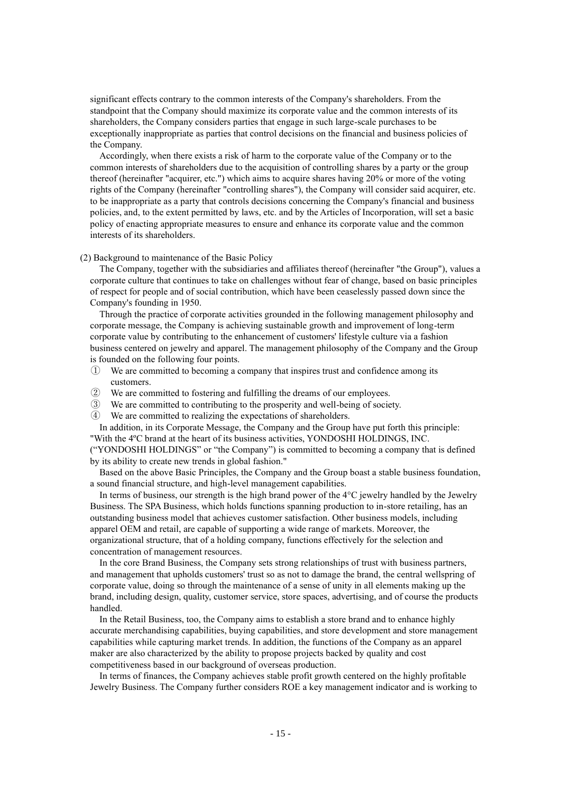significant effects contrary to the common interests of the Company's shareholders. From the standpoint that the Company should maximize its corporate value and the common interests of its shareholders, the Company considers parties that engage in such large-scale purchases to be exceptionally inappropriate as parties that control decisions on the financial and business policies of the Company.

Accordingly, when there exists a risk of harm to the corporate value of the Company or to the common interests of shareholders due to the acquisition of controlling shares by a party or the group thereof (hereinafter "acquirer, etc.") which aims to acquire shares having 20% or more of the voting rights of the Company (hereinafter "controlling shares"), the Company will consider said acquirer, etc. to be inappropriate as a party that controls decisions concerning the Company's financial and business policies, and, to the extent permitted by laws, etc. and by the Articles of Incorporation, will set a basic policy of enacting appropriate measures to ensure and enhance its corporate value and the common interests of its shareholders.

#### (2) Background to maintenance of the Basic Policy

The Company, together with the subsidiaries and affiliates thereof (hereinafter "the Group"), values a corporate culture that continues to take on challenges without fear of change, based on basic principles of respect for people and of social contribution, which have been ceaselessly passed down since the Company's founding in 1950.

Through the practice of corporate activities grounded in the following management philosophy and corporate message, the Company is achieving sustainable growth and improvement of long-term corporate value by contributing to the enhancement of customers' lifestyle culture via a fashion business centered on jewelry and apparel. The management philosophy of the Company and the Group is founded on the following four points.

- ① We are committed to becoming a company that inspires trust and confidence among its customers.
- ② We are committed to fostering and fulfilling the dreams of our employees.
- ③ We are committed to contributing to the prosperity and well-being of society.
- ④ We are committed to realizing the expectations of shareholders.

In addition, in its Corporate Message, the Company and the Group have put forth this principle: "With the 4ºC brand at the heart of its business activities, YONDOSHI HOLDINGS, INC. ("YONDOSHI HOLDINGS" or "the Company") is committed to becoming a company that is defined

by its ability to create new trends in global fashion." Based on the above Basic Principles, the Company and the Group boast a stable business foundation,

a sound financial structure, and high-level management capabilities.

In terms of business, our strength is the high brand power of the 4°C jewelry handled by the Jewelry Business. The SPA Business, which holds functions spanning production to in-store retailing, has an outstanding business model that achieves customer satisfaction. Other business models, including apparel OEM and retail, are capable of supporting a wide range of markets. Moreover, the organizational structure, that of a holding company, functions effectively for the selection and concentration of management resources.

In the core Brand Business, the Company sets strong relationships of trust with business partners, and management that upholds customers' trust so as not to damage the brand, the central wellspring of corporate value, doing so through the maintenance of a sense of unity in all elements making up the brand, including design, quality, customer service, store spaces, advertising, and of course the products handled.

In the Retail Business, too, the Company aims to establish a store brand and to enhance highly accurate merchandising capabilities, buying capabilities, and store development and store management capabilities while capturing market trends. In addition, the functions of the Company as an apparel maker are also characterized by the ability to propose projects backed by quality and cost competitiveness based in our background of overseas production.

In terms of finances, the Company achieves stable profit growth centered on the highly profitable Jewelry Business. The Company further considers ROE a key management indicator and is working to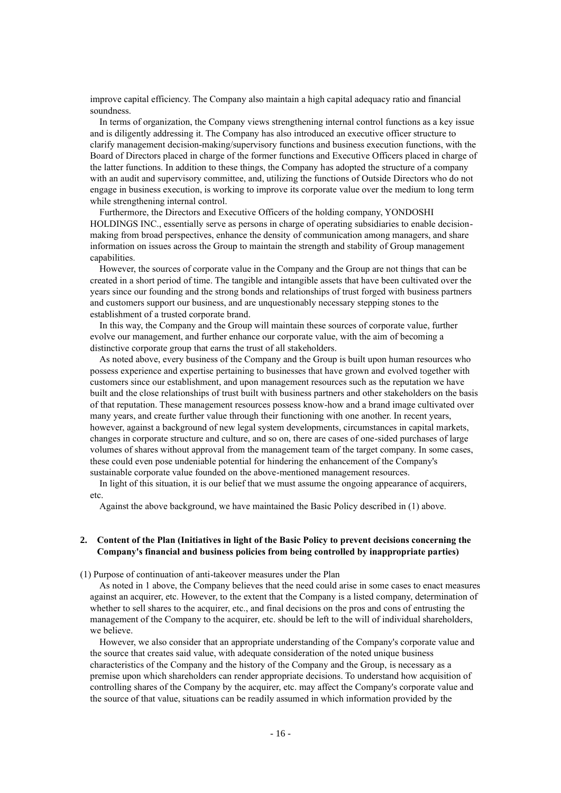improve capital efficiency. The Company also maintain a high capital adequacy ratio and financial soundness.

In terms of organization, the Company views strengthening internal control functions as a key issue and is diligently addressing it. The Company has also introduced an executive officer structure to clarify management decision-making/supervisory functions and business execution functions, with the Board of Directors placed in charge of the former functions and Executive Officers placed in charge of the latter functions. In addition to these things, the Company has adopted the structure of a company with an audit and supervisory committee, and, utilizing the functions of Outside Directors who do not engage in business execution, is working to improve its corporate value over the medium to long term while strengthening internal control.

Furthermore, the Directors and Executive Officers of the holding company, YONDOSHI HOLDINGS INC., essentially serve as persons in charge of operating subsidiaries to enable decisionmaking from broad perspectives, enhance the density of communication among managers, and share information on issues across the Group to maintain the strength and stability of Group management capabilities.

However, the sources of corporate value in the Company and the Group are not things that can be created in a short period of time. The tangible and intangible assets that have been cultivated over the years since our founding and the strong bonds and relationships of trust forged with business partners and customers support our business, and are unquestionably necessary stepping stones to the establishment of a trusted corporate brand.

In this way, the Company and the Group will maintain these sources of corporate value, further evolve our management, and further enhance our corporate value, with the aim of becoming a distinctive corporate group that earns the trust of all stakeholders.

As noted above, every business of the Company and the Group is built upon human resources who possess experience and expertise pertaining to businesses that have grown and evolved together with customers since our establishment, and upon management resources such as the reputation we have built and the close relationships of trust built with business partners and other stakeholders on the basis of that reputation. These management resources possess know-how and a brand image cultivated over many years, and create further value through their functioning with one another. In recent years, however, against a background of new legal system developments, circumstances in capital markets, changes in corporate structure and culture, and so on, there are cases of one-sided purchases of large volumes of shares without approval from the management team of the target company. In some cases, these could even pose undeniable potential for hindering the enhancement of the Company's sustainable corporate value founded on the above-mentioned management resources.

In light of this situation, it is our belief that we must assume the ongoing appearance of acquirers, etc.

Against the above background, we have maintained the Basic Policy described in (1) above.

## **2. Content of the Plan (Initiatives in light of the Basic Policy to prevent decisions concerning the Company's financial and business policies from being controlled by inappropriate parties)**

(1) Purpose of continuation of anti-takeover measures under the Plan

As noted in 1 above, the Company believes that the need could arise in some cases to enact measures against an acquirer, etc. However, to the extent that the Company is a listed company, determination of whether to sell shares to the acquirer, etc., and final decisions on the pros and cons of entrusting the management of the Company to the acquirer, etc. should be left to the will of individual shareholders, we believe.

However, we also consider that an appropriate understanding of the Company's corporate value and the source that creates said value, with adequate consideration of the noted unique business characteristics of the Company and the history of the Company and the Group, is necessary as a premise upon which shareholders can render appropriate decisions. To understand how acquisition of controlling shares of the Company by the acquirer, etc. may affect the Company's corporate value and the source of that value, situations can be readily assumed in which information provided by the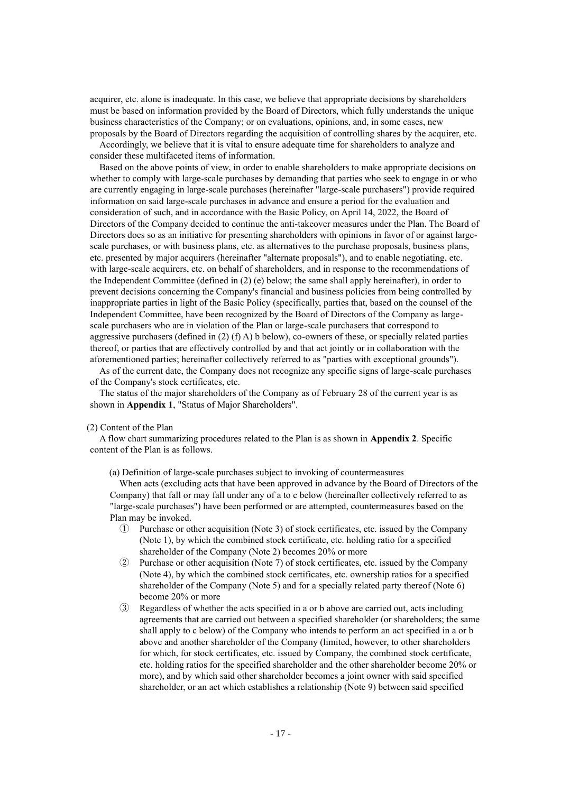acquirer, etc. alone is inadequate. In this case, we believe that appropriate decisions by shareholders must be based on information provided by the Board of Directors, which fully understands the unique business characteristics of the Company; or on evaluations, opinions, and, in some cases, new proposals by the Board of Directors regarding the acquisition of controlling shares by the acquirer, etc.

Accordingly, we believe that it is vital to ensure adequate time for shareholders to analyze and consider these multifaceted items of information.

Based on the above points of view, in order to enable shareholders to make appropriate decisions on whether to comply with large-scale purchases by demanding that parties who seek to engage in or who are currently engaging in large-scale purchases (hereinafter "large-scale purchasers") provide required information on said large-scale purchases in advance and ensure a period for the evaluation and consideration of such, and in accordance with the Basic Policy, on April 14, 2022, the Board of Directors of the Company decided to continue the anti-takeover measures under the Plan. The Board of Directors does so as an initiative for presenting shareholders with opinions in favor of or against largescale purchases, or with business plans, etc. as alternatives to the purchase proposals, business plans, etc. presented by major acquirers (hereinafter "alternate proposals"), and to enable negotiating, etc. with large-scale acquirers, etc. on behalf of shareholders, and in response to the recommendations of the Independent Committee (defined in (2) (e) below; the same shall apply hereinafter), in order to prevent decisions concerning the Company's financial and business policies from being controlled by inappropriate parties in light of the Basic Policy (specifically, parties that, based on the counsel of the Independent Committee, have been recognized by the Board of Directors of the Company as largescale purchasers who are in violation of the Plan or large-scale purchasers that correspond to aggressive purchasers (defined in  $(2)$  (f) A) b below), co-owners of these, or specially related parties thereof, or parties that are effectively controlled by and that act jointly or in collaboration with the aforementioned parties; hereinafter collectively referred to as "parties with exceptional grounds").

As of the current date, the Company does not recognize any specific signs of large-scale purchases of the Company's stock certificates, etc.

The status of the major shareholders of the Company as of February 28 of the current year is as shown in **Appendix 1**, "Status of Major Shareholders".

#### (2) Content of the Plan

A flow chart summarizing procedures related to the Plan is as shown in **Appendix 2**. Specific content of the Plan is as follows.

(a) Definition of large-scale purchases subject to invoking of countermeasures

When acts (excluding acts that have been approved in advance by the Board of Directors of the Company) that fall or may fall under any of a to c below (hereinafter collectively referred to as "large-scale purchases") have been performed or are attempted, countermeasures based on the Plan may be invoked.

- ① Purchase or other acquisition (Note 3) of stock certificates, etc. issued by the Company (Note 1), by which the combined stock certificate, etc. holding ratio for a specified shareholder of the Company (Note 2) becomes 20% or more
- ② Purchase or other acquisition (Note 7) of stock certificates, etc. issued by the Company (Note 4), by which the combined stock certificates, etc. ownership ratios for a specified shareholder of the Company (Note 5) and for a specially related party thereof (Note 6) become 20% or more
- ③ Regardless of whether the acts specified in a or b above are carried out, acts including agreements that are carried out between a specified shareholder (or shareholders; the same shall apply to c below) of the Company who intends to perform an act specified in a or b above and another shareholder of the Company (limited, however, to other shareholders for which, for stock certificates, etc. issued by Company, the combined stock certificate, etc. holding ratios for the specified shareholder and the other shareholder become 20% or more), and by which said other shareholder becomes a joint owner with said specified shareholder, or an act which establishes a relationship (Note 9) between said specified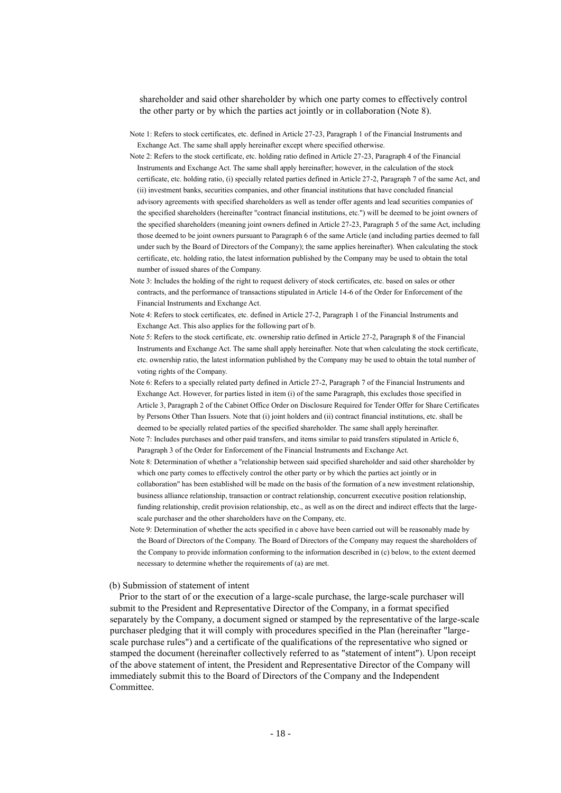shareholder and said other shareholder by which one party comes to effectively control the other party or by which the parties act jointly or in collaboration (Note 8).

- Note 1: Refers to stock certificates, etc. defined in Article 27-23, Paragraph 1 of the Financial Instruments and Exchange Act. The same shall apply hereinafter except where specified otherwise.
- Note 2: Refers to the stock certificate, etc. holding ratio defined in Article 27-23, Paragraph 4 of the Financial Instruments and Exchange Act. The same shall apply hereinafter; however, in the calculation of the stock certificate, etc. holding ratio, (i) specially related parties defined in Article 27-2, Paragraph 7 of the same Act, and (ii) investment banks, securities companies, and other financial institutions that have concluded financial advisory agreements with specified shareholders as well as tender offer agents and lead securities companies of the specified shareholders (hereinafter "contract financial institutions, etc.") will be deemed to be joint owners of the specified shareholders (meaning joint owners defined in Article 27-23, Paragraph 5 of the same Act, including those deemed to be joint owners pursuant to Paragraph 6 of the same Article (and including parties deemed to fall under such by the Board of Directors of the Company); the same applies hereinafter). When calculating the stock certificate, etc. holding ratio, the latest information published by the Company may be used to obtain the total number of issued shares of the Company.
- Note 3: Includes the holding of the right to request delivery of stock certificates, etc. based on sales or other contracts, and the performance of transactions stipulated in Article 14-6 of the Order for Enforcement of the Financial Instruments and Exchange Act.
- Note 4: Refers to stock certificates, etc. defined in Article 27-2, Paragraph 1 of the Financial Instruments and Exchange Act. This also applies for the following part of b.
- Note 5: Refers to the stock certificate, etc. ownership ratio defined in Article 27-2, Paragraph 8 of the Financial Instruments and Exchange Act. The same shall apply hereinafter. Note that when calculating the stock certificate, etc. ownership ratio, the latest information published by the Company may be used to obtain the total number of voting rights of the Company.
- Note 6: Refers to a specially related party defined in Article 27-2, Paragraph 7 of the Financial Instruments and Exchange Act. However, for parties listed in item (i) of the same Paragraph, this excludes those specified in Article 3, Paragraph 2 of the Cabinet Office Order on Disclosure Required for Tender Offer for Share Certificates by Persons Other Than Issuers. Note that (i) joint holders and (ii) contract financial institutions, etc. shall be deemed to be specially related parties of the specified shareholder. The same shall apply hereinafter.
- Note 7: Includes purchases and other paid transfers, and items similar to paid transfers stipulated in Article 6, Paragraph 3 of the Order for Enforcement of the Financial Instruments and Exchange Act.
- Note 8: Determination of whether a "relationship between said specified shareholder and said other shareholder by which one party comes to effectively control the other party or by which the parties act jointly or in collaboration" has been established will be made on the basis of the formation of a new investment relationship, business alliance relationship, transaction or contract relationship, concurrent executive position relationship, funding relationship, credit provision relationship, etc., as well as on the direct and indirect effects that the largescale purchaser and the other shareholders have on the Company, etc.
- Note 9: Determination of whether the acts specified in c above have been carried out will be reasonably made by the Board of Directors of the Company. The Board of Directors of the Company may request the shareholders of the Company to provide information conforming to the information described in (c) below, to the extent deemed necessary to determine whether the requirements of (a) are met.

#### (b) Submission of statement of intent

Prior to the start of or the execution of a large-scale purchase, the large-scale purchaser will submit to the President and Representative Director of the Company, in a format specified separately by the Company, a document signed or stamped by the representative of the large-scale purchaser pledging that it will comply with procedures specified in the Plan (hereinafter "largescale purchase rules") and a certificate of the qualifications of the representative who signed or stamped the document (hereinafter collectively referred to as "statement of intent"). Upon receipt of the above statement of intent, the President and Representative Director of the Company will immediately submit this to the Board of Directors of the Company and the Independent Committee.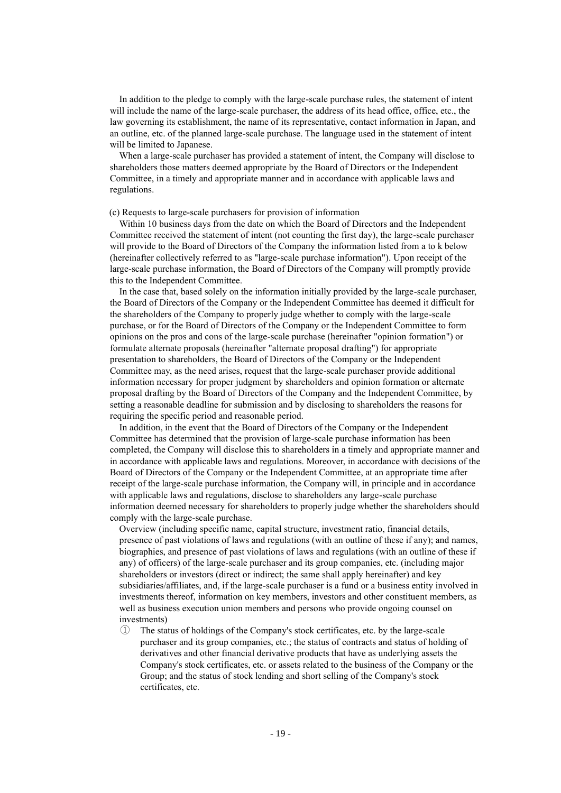In addition to the pledge to comply with the large-scale purchase rules, the statement of intent will include the name of the large-scale purchaser, the address of its head office, office, etc., the law governing its establishment, the name of its representative, contact information in Japan, and an outline, etc. of the planned large-scale purchase. The language used in the statement of intent will be limited to Japanese.

When a large-scale purchaser has provided a statement of intent, the Company will disclose to shareholders those matters deemed appropriate by the Board of Directors or the Independent Committee, in a timely and appropriate manner and in accordance with applicable laws and regulations.

### (c) Requests to large-scale purchasers for provision of information

Within 10 business days from the date on which the Board of Directors and the Independent Committee received the statement of intent (not counting the first day), the large-scale purchaser will provide to the Board of Directors of the Company the information listed from a to k below (hereinafter collectively referred to as "large-scale purchase information"). Upon receipt of the large-scale purchase information, the Board of Directors of the Company will promptly provide this to the Independent Committee.

In the case that, based solely on the information initially provided by the large-scale purchaser, the Board of Directors of the Company or the Independent Committee has deemed it difficult for the shareholders of the Company to properly judge whether to comply with the large-scale purchase, or for the Board of Directors of the Company or the Independent Committee to form opinions on the pros and cons of the large-scale purchase (hereinafter "opinion formation") or formulate alternate proposals (hereinafter "alternate proposal drafting") for appropriate presentation to shareholders, the Board of Directors of the Company or the Independent Committee may, as the need arises, request that the large-scale purchaser provide additional information necessary for proper judgment by shareholders and opinion formation or alternate proposal drafting by the Board of Directors of the Company and the Independent Committee, by setting a reasonable deadline for submission and by disclosing to shareholders the reasons for requiring the specific period and reasonable period.

In addition, in the event that the Board of Directors of the Company or the Independent Committee has determined that the provision of large-scale purchase information has been completed, the Company will disclose this to shareholders in a timely and appropriate manner and in accordance with applicable laws and regulations. Moreover, in accordance with decisions of the Board of Directors of the Company or the Independent Committee, at an appropriate time after receipt of the large-scale purchase information, the Company will, in principle and in accordance with applicable laws and regulations, disclose to shareholders any large-scale purchase information deemed necessary for shareholders to properly judge whether the shareholders should comply with the large-scale purchase.

Overview (including specific name, capital structure, investment ratio, financial details, presence of past violations of laws and regulations (with an outline of these if any); and names, biographies, and presence of past violations of laws and regulations (with an outline of these if any) of officers) of the large-scale purchaser and its group companies, etc. (including major shareholders or investors (direct or indirect; the same shall apply hereinafter) and key subsidiaries/affiliates, and, if the large-scale purchaser is a fund or a business entity involved in investments thereof, information on key members, investors and other constituent members, as well as business execution union members and persons who provide ongoing counsel on investments)

① The status of holdings of the Company's stock certificates, etc. by the large-scale purchaser and its group companies, etc.; the status of contracts and status of holding of derivatives and other financial derivative products that have as underlying assets the Company's stock certificates, etc. or assets related to the business of the Company or the Group; and the status of stock lending and short selling of the Company's stock certificates, etc.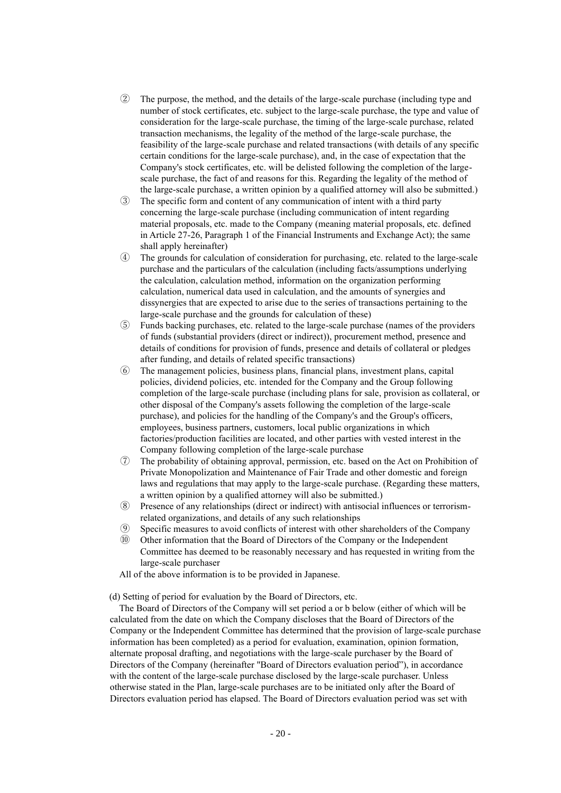- ② The purpose, the method, and the details of the large-scale purchase (including type and number of stock certificates, etc. subject to the large-scale purchase, the type and value of consideration for the large-scale purchase, the timing of the large-scale purchase, related transaction mechanisms, the legality of the method of the large-scale purchase, the feasibility of the large-scale purchase and related transactions (with details of any specific certain conditions for the large-scale purchase), and, in the case of expectation that the Company's stock certificates, etc. will be delisted following the completion of the largescale purchase, the fact of and reasons for this. Regarding the legality of the method of the large-scale purchase, a written opinion by a qualified attorney will also be submitted.)
- ③ The specific form and content of any communication of intent with a third party concerning the large-scale purchase (including communication of intent regarding material proposals, etc. made to the Company (meaning material proposals, etc. defined in Article 27-26, Paragraph 1 of the Financial Instruments and Exchange Act); the same shall apply hereinafter)
- ④ The grounds for calculation of consideration for purchasing, etc. related to the large-scale purchase and the particulars of the calculation (including facts/assumptions underlying the calculation, calculation method, information on the organization performing calculation, numerical data used in calculation, and the amounts of synergies and dissynergies that are expected to arise due to the series of transactions pertaining to the large-scale purchase and the grounds for calculation of these)
- ⑤ Funds backing purchases, etc. related to the large-scale purchase (names of the providers of funds (substantial providers (direct or indirect)), procurement method, presence and details of conditions for provision of funds, presence and details of collateral or pledges after funding, and details of related specific transactions)
- ⑥ The management policies, business plans, financial plans, investment plans, capital policies, dividend policies, etc. intended for the Company and the Group following completion of the large-scale purchase (including plans for sale, provision as collateral, or other disposal of the Company's assets following the completion of the large-scale purchase), and policies for the handling of the Company's and the Group's officers, employees, business partners, customers, local public organizations in which factories/production facilities are located, and other parties with vested interest in the Company following completion of the large-scale purchase
- ⑦ The probability of obtaining approval, permission, etc. based on the Act on Prohibition of Private Monopolization and Maintenance of Fair Trade and other domestic and foreign laws and regulations that may apply to the large-scale purchase. (Regarding these matters, a written opinion by a qualified attorney will also be submitted.)
- ⑧ Presence of any relationships (direct or indirect) with antisocial influences or terrorismrelated organizations, and details of any such relationships
- ⑨ Specific measures to avoid conflicts of interest with other shareholders of the Company
- ⑩ Other information that the Board of Directors of the Company or the Independent Committee has deemed to be reasonably necessary and has requested in writing from the large-scale purchaser
- All of the above information is to be provided in Japanese.

(d) Setting of period for evaluation by the Board of Directors, etc.

The Board of Directors of the Company will set period a or b below (either of which will be calculated from the date on which the Company discloses that the Board of Directors of the Company or the Independent Committee has determined that the provision of large-scale purchase information has been completed) as a period for evaluation, examination, opinion formation, alternate proposal drafting, and negotiations with the large-scale purchaser by the Board of Directors of the Company (hereinafter "Board of Directors evaluation period"), in accordance with the content of the large-scale purchase disclosed by the large-scale purchaser. Unless otherwise stated in the Plan, large-scale purchases are to be initiated only after the Board of Directors evaluation period has elapsed. The Board of Directors evaluation period was set with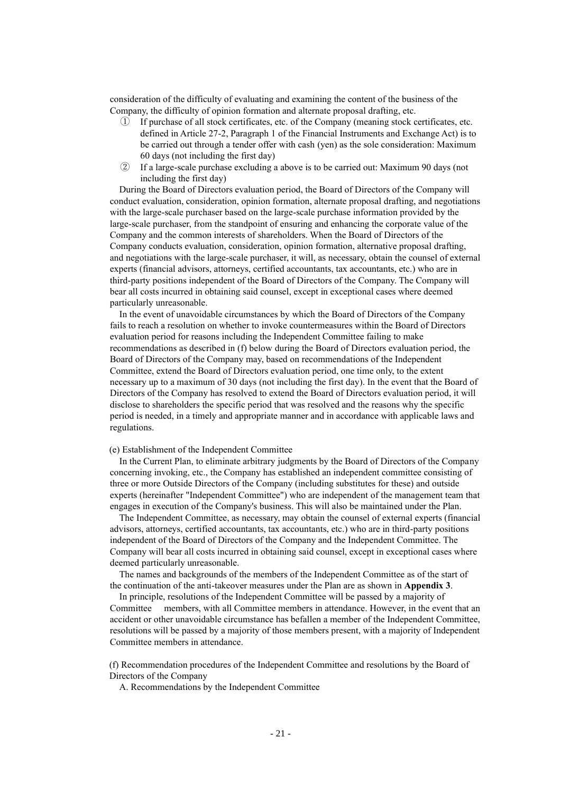consideration of the difficulty of evaluating and examining the content of the business of the Company, the difficulty of opinion formation and alternate proposal drafting, etc.

- If purchase of all stock certificates, etc. of the Company (meaning stock certificates, etc. defined in Article 27-2, Paragraph 1 of the Financial Instruments and Exchange Act) is to be carried out through a tender offer with cash (yen) as the sole consideration: Maximum 60 days (not including the first day)
- ② If a large-scale purchase excluding a above is to be carried out: Maximum 90 days (not including the first day)

During the Board of Directors evaluation period, the Board of Directors of the Company will conduct evaluation, consideration, opinion formation, alternate proposal drafting, and negotiations with the large-scale purchaser based on the large-scale purchase information provided by the large-scale purchaser, from the standpoint of ensuring and enhancing the corporate value of the Company and the common interests of shareholders. When the Board of Directors of the Company conducts evaluation, consideration, opinion formation, alternative proposal drafting, and negotiations with the large-scale purchaser, it will, as necessary, obtain the counsel of external experts (financial advisors, attorneys, certified accountants, tax accountants, etc.) who are in third-party positions independent of the Board of Directors of the Company. The Company will bear all costs incurred in obtaining said counsel, except in exceptional cases where deemed particularly unreasonable.

In the event of unavoidable circumstances by which the Board of Directors of the Company fails to reach a resolution on whether to invoke countermeasures within the Board of Directors evaluation period for reasons including the Independent Committee failing to make recommendations as described in (f) below during the Board of Directors evaluation period, the Board of Directors of the Company may, based on recommendations of the Independent Committee, extend the Board of Directors evaluation period, one time only, to the extent necessary up to a maximum of 30 days (not including the first day). In the event that the Board of Directors of the Company has resolved to extend the Board of Directors evaluation period, it will disclose to shareholders the specific period that was resolved and the reasons why the specific period is needed, in a timely and appropriate manner and in accordance with applicable laws and regulations.

### (e) Establishment of the Independent Committee

In the Current Plan, to eliminate arbitrary judgments by the Board of Directors of the Company concerning invoking, etc., the Company has established an independent committee consisting of three or more Outside Directors of the Company (including substitutes for these) and outside experts (hereinafter "Independent Committee") who are independent of the management team that engages in execution of the Company's business. This will also be maintained under the Plan.

The Independent Committee, as necessary, may obtain the counsel of external experts (financial advisors, attorneys, certified accountants, tax accountants, etc.) who are in third-party positions independent of the Board of Directors of the Company and the Independent Committee. The Company will bear all costs incurred in obtaining said counsel, except in exceptional cases where deemed particularly unreasonable.

The names and backgrounds of the members of the Independent Committee as of the start of the continuation of the anti-takeover measures under the Plan are as shown in **Appendix 3**.

In principle, resolutions of the Independent Committee will be passed by a majority of Committee members, with all Committee members in attendance. However, in the event that an accident or other unavoidable circumstance has befallen a member of the Independent Committee, resolutions will be passed by a majority of those members present, with a majority of Independent Committee members in attendance.

(f) Recommendation procedures of the Independent Committee and resolutions by the Board of Directors of the Company

A. Recommendations by the Independent Committee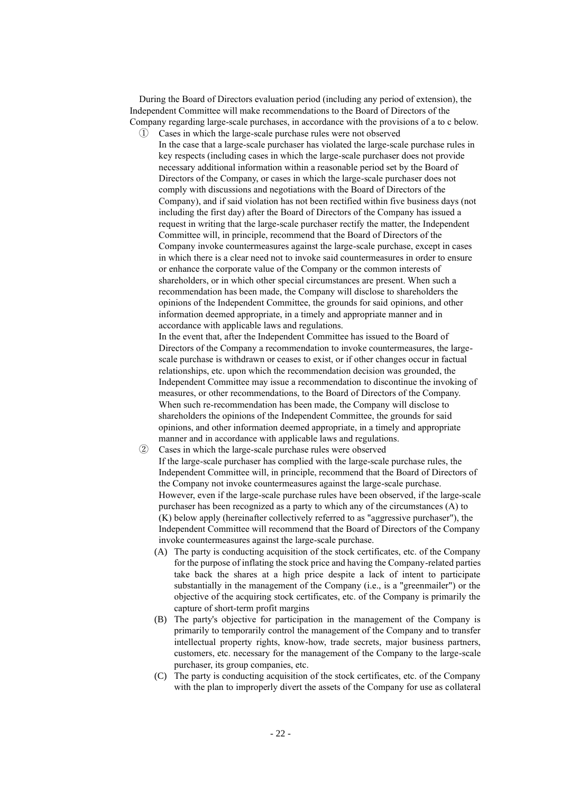During the Board of Directors evaluation period (including any period of extension), the Independent Committee will make recommendations to the Board of Directors of the Company regarding large-scale purchases, in accordance with the provisions of a to c below.

① Cases in which the large-scale purchase rules were not observed In the case that a large-scale purchaser has violated the large-scale purchase rules in key respects (including cases in which the large-scale purchaser does not provide necessary additional information within a reasonable period set by the Board of Directors of the Company, or cases in which the large-scale purchaser does not comply with discussions and negotiations with the Board of Directors of the Company), and if said violation has not been rectified within five business days (not including the first day) after the Board of Directors of the Company has issued a request in writing that the large-scale purchaser rectify the matter, the Independent Committee will, in principle, recommend that the Board of Directors of the Company invoke countermeasures against the large-scale purchase, except in cases in which there is a clear need not to invoke said countermeasures in order to ensure or enhance the corporate value of the Company or the common interests of shareholders, or in which other special circumstances are present. When such a recommendation has been made, the Company will disclose to shareholders the opinions of the Independent Committee, the grounds for said opinions, and other information deemed appropriate, in a timely and appropriate manner and in accordance with applicable laws and regulations.

In the event that, after the Independent Committee has issued to the Board of Directors of the Company a recommendation to invoke countermeasures, the largescale purchase is withdrawn or ceases to exist, or if other changes occur in factual relationships, etc. upon which the recommendation decision was grounded, the Independent Committee may issue a recommendation to discontinue the invoking of measures, or other recommendations, to the Board of Directors of the Company. When such re-recommendation has been made, the Company will disclose to shareholders the opinions of the Independent Committee, the grounds for said opinions, and other information deemed appropriate, in a timely and appropriate manner and in accordance with applicable laws and regulations.

- Cases in which the large-scale purchase rules were observed If the large-scale purchaser has complied with the large-scale purchase rules, the Independent Committee will, in principle, recommend that the Board of Directors of the Company not invoke countermeasures against the large-scale purchase. However, even if the large-scale purchase rules have been observed, if the large-scale purchaser has been recognized as a party to which any of the circumstances (A) to (K) below apply (hereinafter collectively referred to as "aggressive purchaser"), the Independent Committee will recommend that the Board of Directors of the Company invoke countermeasures against the large-scale purchase.
	- (A) The party is conducting acquisition of the stock certificates, etc. of the Company for the purpose of inflating the stock price and having the Company-related parties take back the shares at a high price despite a lack of intent to participate substantially in the management of the Company (i.e., is a "greenmailer") or the objective of the acquiring stock certificates, etc. of the Company is primarily the capture of short-term profit margins
	- (B) The party's objective for participation in the management of the Company is primarily to temporarily control the management of the Company and to transfer intellectual property rights, know-how, trade secrets, major business partners, customers, etc. necessary for the management of the Company to the large-scale purchaser, its group companies, etc.
	- (C) The party is conducting acquisition of the stock certificates, etc. of the Company with the plan to improperly divert the assets of the Company for use as collateral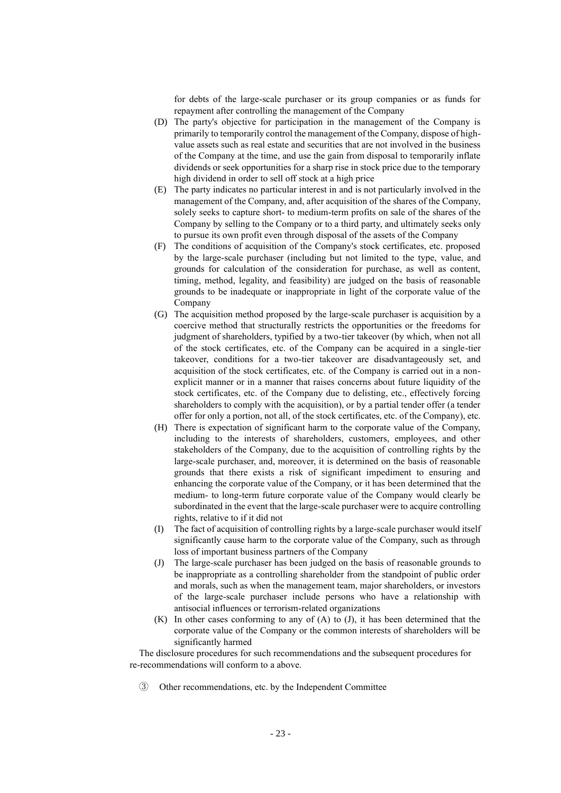for debts of the large-scale purchaser or its group companies or as funds for repayment after controlling the management of the Company

- (D) The party's objective for participation in the management of the Company is primarily to temporarily control the management of the Company, dispose of highvalue assets such as real estate and securities that are not involved in the business of the Company at the time, and use the gain from disposal to temporarily inflate dividends or seek opportunities for a sharp rise in stock price due to the temporary high dividend in order to sell off stock at a high price
- (E) The party indicates no particular interest in and is not particularly involved in the management of the Company, and, after acquisition of the shares of the Company, solely seeks to capture short- to medium-term profits on sale of the shares of the Company by selling to the Company or to a third party, and ultimately seeks only to pursue its own profit even through disposal of the assets of the Company
- (F) The conditions of acquisition of the Company's stock certificates, etc. proposed by the large-scale purchaser (including but not limited to the type, value, and grounds for calculation of the consideration for purchase, as well as content, timing, method, legality, and feasibility) are judged on the basis of reasonable grounds to be inadequate or inappropriate in light of the corporate value of the Company
- (G) The acquisition method proposed by the large-scale purchaser is acquisition by a coercive method that structurally restricts the opportunities or the freedoms for judgment of shareholders, typified by a two-tier takeover (by which, when not all of the stock certificates, etc. of the Company can be acquired in a single-tier takeover, conditions for a two-tier takeover are disadvantageously set, and acquisition of the stock certificates, etc. of the Company is carried out in a nonexplicit manner or in a manner that raises concerns about future liquidity of the stock certificates, etc. of the Company due to delisting, etc., effectively forcing shareholders to comply with the acquisition), or by a partial tender offer (a tender offer for only a portion, not all, of the stock certificates, etc. of the Company), etc.
- (H) There is expectation of significant harm to the corporate value of the Company, including to the interests of shareholders, customers, employees, and other stakeholders of the Company, due to the acquisition of controlling rights by the large-scale purchaser, and, moreover, it is determined on the basis of reasonable grounds that there exists a risk of significant impediment to ensuring and enhancing the corporate value of the Company, or it has been determined that the medium- to long-term future corporate value of the Company would clearly be subordinated in the event that the large-scale purchaser were to acquire controlling rights, relative to if it did not
- (I) The fact of acquisition of controlling rights by a large-scale purchaser would itself significantly cause harm to the corporate value of the Company, such as through loss of important business partners of the Company
- (J) The large-scale purchaser has been judged on the basis of reasonable grounds to be inappropriate as a controlling shareholder from the standpoint of public order and morals, such as when the management team, major shareholders, or investors of the large-scale purchaser include persons who have a relationship with antisocial influences or terrorism-related organizations
- (K) In other cases conforming to any of (A) to (J), it has been determined that the corporate value of the Company or the common interests of shareholders will be significantly harmed

The disclosure procedures for such recommendations and the subsequent procedures for re-recommendations will conform to a above.

③ Other recommendations, etc. by the Independent Committee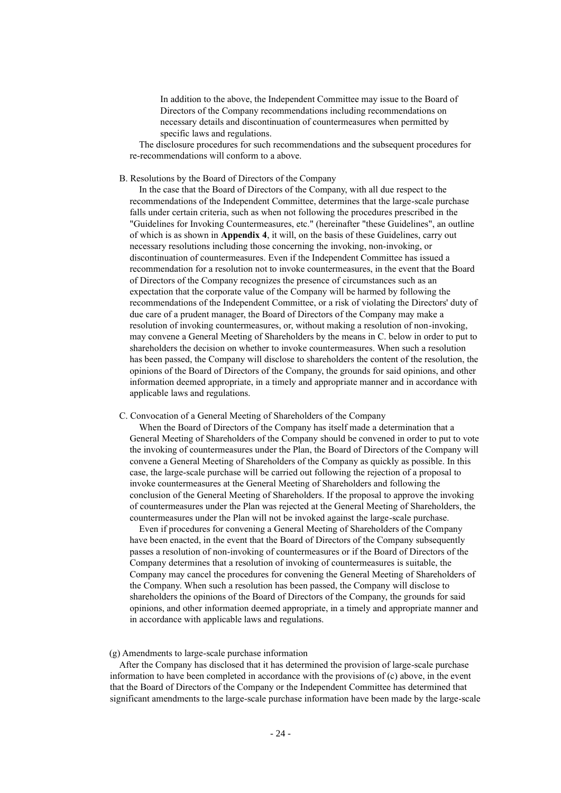In addition to the above, the Independent Committee may issue to the Board of Directors of the Company recommendations including recommendations on necessary details and discontinuation of countermeasures when permitted by specific laws and regulations.

The disclosure procedures for such recommendations and the subsequent procedures for re-recommendations will conform to a above.

### B. Resolutions by the Board of Directors of the Company

In the case that the Board of Directors of the Company, with all due respect to the recommendations of the Independent Committee, determines that the large-scale purchase falls under certain criteria, such as when not following the procedures prescribed in the "Guidelines for Invoking Countermeasures, etc." (hereinafter "these Guidelines", an outline of which is as shown in **Appendix 4**, it will, on the basis of these Guidelines, carry out necessary resolutions including those concerning the invoking, non-invoking, or discontinuation of countermeasures. Even if the Independent Committee has issued a recommendation for a resolution not to invoke countermeasures, in the event that the Board of Directors of the Company recognizes the presence of circumstances such as an expectation that the corporate value of the Company will be harmed by following the recommendations of the Independent Committee, or a risk of violating the Directors' duty of due care of a prudent manager, the Board of Directors of the Company may make a resolution of invoking countermeasures, or, without making a resolution of non-invoking, may convene a General Meeting of Shareholders by the means in C. below in order to put to shareholders the decision on whether to invoke countermeasures. When such a resolution has been passed, the Company will disclose to shareholders the content of the resolution, the opinions of the Board of Directors of the Company, the grounds for said opinions, and other information deemed appropriate, in a timely and appropriate manner and in accordance with applicable laws and regulations.

### C. Convocation of a General Meeting of Shareholders of the Company

When the Board of Directors of the Company has itself made a determination that a General Meeting of Shareholders of the Company should be convened in order to put to vote the invoking of countermeasures under the Plan, the Board of Directors of the Company will convene a General Meeting of Shareholders of the Company as quickly as possible. In this case, the large-scale purchase will be carried out following the rejection of a proposal to invoke countermeasures at the General Meeting of Shareholders and following the conclusion of the General Meeting of Shareholders. If the proposal to approve the invoking of countermeasures under the Plan was rejected at the General Meeting of Shareholders, the countermeasures under the Plan will not be invoked against the large-scale purchase.

Even if procedures for convening a General Meeting of Shareholders of the Company have been enacted, in the event that the Board of Directors of the Company subsequently passes a resolution of non-invoking of countermeasures or if the Board of Directors of the Company determines that a resolution of invoking of countermeasures is suitable, the Company may cancel the procedures for convening the General Meeting of Shareholders of the Company. When such a resolution has been passed, the Company will disclose to shareholders the opinions of the Board of Directors of the Company, the grounds for said opinions, and other information deemed appropriate, in a timely and appropriate manner and in accordance with applicable laws and regulations.

## (g) Amendments to large-scale purchase information

After the Company has disclosed that it has determined the provision of large-scale purchase information to have been completed in accordance with the provisions of (c) above, in the event that the Board of Directors of the Company or the Independent Committee has determined that significant amendments to the large-scale purchase information have been made by the large-scale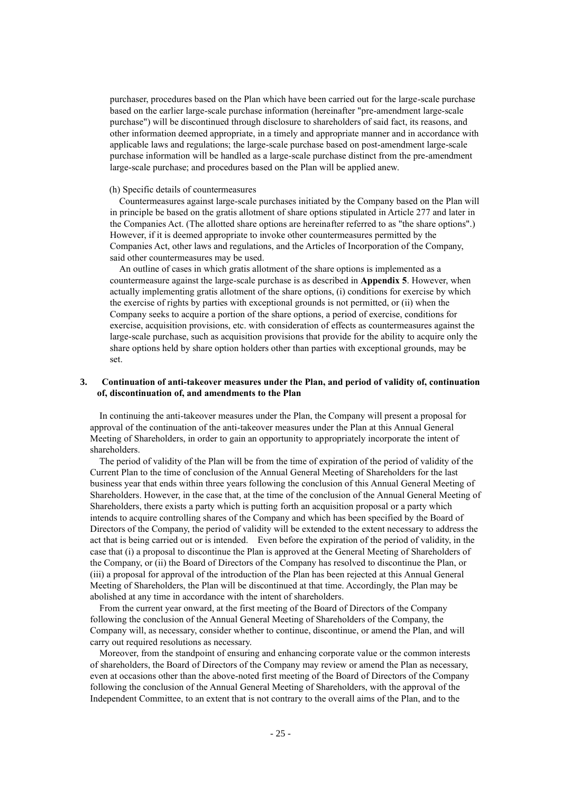purchaser, procedures based on the Plan which have been carried out for the large-scale purchase based on the earlier large-scale purchase information (hereinafter "pre-amendment large-scale purchase") will be discontinued through disclosure to shareholders of said fact, its reasons, and other information deemed appropriate, in a timely and appropriate manner and in accordance with applicable laws and regulations; the large-scale purchase based on post-amendment large-scale purchase information will be handled as a large-scale purchase distinct from the pre-amendment large-scale purchase; and procedures based on the Plan will be applied anew.

### (h) Specific details of countermeasures

Countermeasures against large-scale purchases initiated by the Company based on the Plan will in principle be based on the gratis allotment of share options stipulated in Article 277 and later in the Companies Act. (The allotted share options are hereinafter referred to as "the share options".) However, if it is deemed appropriate to invoke other countermeasures permitted by the Companies Act, other laws and regulations, and the Articles of Incorporation of the Company, said other countermeasures may be used.

An outline of cases in which gratis allotment of the share options is implemented as a countermeasure against the large-scale purchase is as described in **Appendix 5**. However, when actually implementing gratis allotment of the share options, (i) conditions for exercise by which the exercise of rights by parties with exceptional grounds is not permitted, or (ii) when the Company seeks to acquire a portion of the share options, a period of exercise, conditions for exercise, acquisition provisions, etc. with consideration of effects as countermeasures against the large-scale purchase, such as acquisition provisions that provide for the ability to acquire only the share options held by share option holders other than parties with exceptional grounds, may be set.

### **3. Continuation of anti-takeover measures under the Plan, and period of validity of, continuation of, discontinuation of, and amendments to the Plan**

In continuing the anti-takeover measures under the Plan, the Company will present a proposal for approval of the continuation of the anti-takeover measures under the Plan at this Annual General Meeting of Shareholders, in order to gain an opportunity to appropriately incorporate the intent of shareholders.

The period of validity of the Plan will be from the time of expiration of the period of validity of the Current Plan to the time of conclusion of the Annual General Meeting of Shareholders for the last business year that ends within three years following the conclusion of this Annual General Meeting of Shareholders. However, in the case that, at the time of the conclusion of the Annual General Meeting of Shareholders, there exists a party which is putting forth an acquisition proposal or a party which intends to acquire controlling shares of the Company and which has been specified by the Board of Directors of the Company, the period of validity will be extended to the extent necessary to address the act that is being carried out or is intended. Even before the expiration of the period of validity, in the case that (i) a proposal to discontinue the Plan is approved at the General Meeting of Shareholders of the Company, or (ii) the Board of Directors of the Company has resolved to discontinue the Plan, or (iii) a proposal for approval of the introduction of the Plan has been rejected at this Annual General Meeting of Shareholders, the Plan will be discontinued at that time. Accordingly, the Plan may be abolished at any time in accordance with the intent of shareholders.

From the current year onward, at the first meeting of the Board of Directors of the Company following the conclusion of the Annual General Meeting of Shareholders of the Company, the Company will, as necessary, consider whether to continue, discontinue, or amend the Plan, and will carry out required resolutions as necessary.

Moreover, from the standpoint of ensuring and enhancing corporate value or the common interests of shareholders, the Board of Directors of the Company may review or amend the Plan as necessary, even at occasions other than the above-noted first meeting of the Board of Directors of the Company following the conclusion of the Annual General Meeting of Shareholders, with the approval of the Independent Committee, to an extent that is not contrary to the overall aims of the Plan, and to the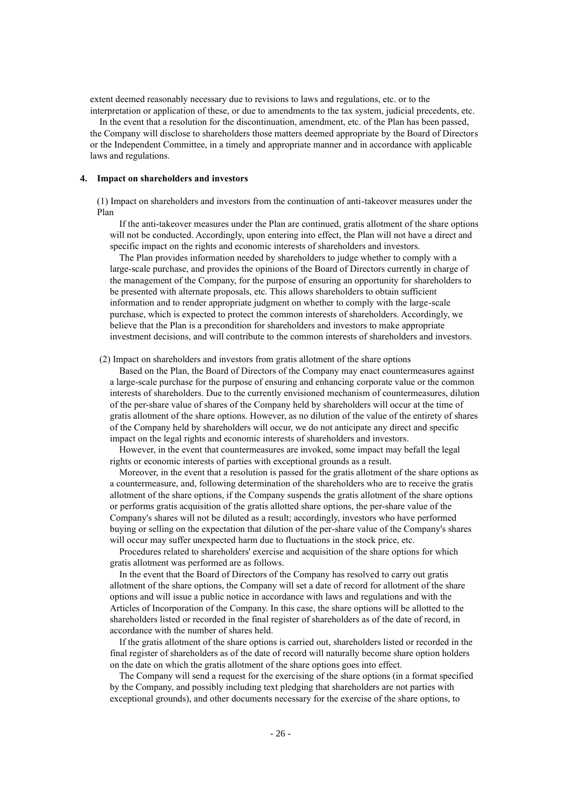extent deemed reasonably necessary due to revisions to laws and regulations, etc. or to the interpretation or application of these, or due to amendments to the tax system, judicial precedents, etc.

In the event that a resolution for the discontinuation, amendment, etc. of the Plan has been passed, the Company will disclose to shareholders those matters deemed appropriate by the Board of Directors or the Independent Committee, in a timely and appropriate manner and in accordance with applicable laws and regulations.

### **4. Impact on shareholders and investors**

(1) Impact on shareholders and investors from the continuation of anti-takeover measures under the Plan

If the anti-takeover measures under the Plan are continued, gratis allotment of the share options will not be conducted. Accordingly, upon entering into effect, the Plan will not have a direct and specific impact on the rights and economic interests of shareholders and investors.

The Plan provides information needed by shareholders to judge whether to comply with a large-scale purchase, and provides the opinions of the Board of Directors currently in charge of the management of the Company, for the purpose of ensuring an opportunity for shareholders to be presented with alternate proposals, etc. This allows shareholders to obtain sufficient information and to render appropriate judgment on whether to comply with the large-scale purchase, which is expected to protect the common interests of shareholders. Accordingly, we believe that the Plan is a precondition for shareholders and investors to make appropriate investment decisions, and will contribute to the common interests of shareholders and investors.

(2) Impact on shareholders and investors from gratis allotment of the share options

Based on the Plan, the Board of Directors of the Company may enact countermeasures against a large-scale purchase for the purpose of ensuring and enhancing corporate value or the common interests of shareholders. Due to the currently envisioned mechanism of countermeasures, dilution of the per-share value of shares of the Company held by shareholders will occur at the time of gratis allotment of the share options. However, as no dilution of the value of the entirety of shares of the Company held by shareholders will occur, we do not anticipate any direct and specific impact on the legal rights and economic interests of shareholders and investors.

However, in the event that countermeasures are invoked, some impact may befall the legal rights or economic interests of parties with exceptional grounds as a result.

Moreover, in the event that a resolution is passed for the gratis allotment of the share options as a countermeasure, and, following determination of the shareholders who are to receive the gratis allotment of the share options, if the Company suspends the gratis allotment of the share options or performs gratis acquisition of the gratis allotted share options, the per-share value of the Company's shares will not be diluted as a result; accordingly, investors who have performed buying or selling on the expectation that dilution of the per-share value of the Company's shares will occur may suffer unexpected harm due to fluctuations in the stock price, etc.

Procedures related to shareholders' exercise and acquisition of the share options for which gratis allotment was performed are as follows.

In the event that the Board of Directors of the Company has resolved to carry out gratis allotment of the share options, the Company will set a date of record for allotment of the share options and will issue a public notice in accordance with laws and regulations and with the Articles of Incorporation of the Company. In this case, the share options will be allotted to the shareholders listed or recorded in the final register of shareholders as of the date of record, in accordance with the number of shares held.

If the gratis allotment of the share options is carried out, shareholders listed or recorded in the final register of shareholders as of the date of record will naturally become share option holders on the date on which the gratis allotment of the share options goes into effect.

The Company will send a request for the exercising of the share options (in a format specified by the Company, and possibly including text pledging that shareholders are not parties with exceptional grounds), and other documents necessary for the exercise of the share options, to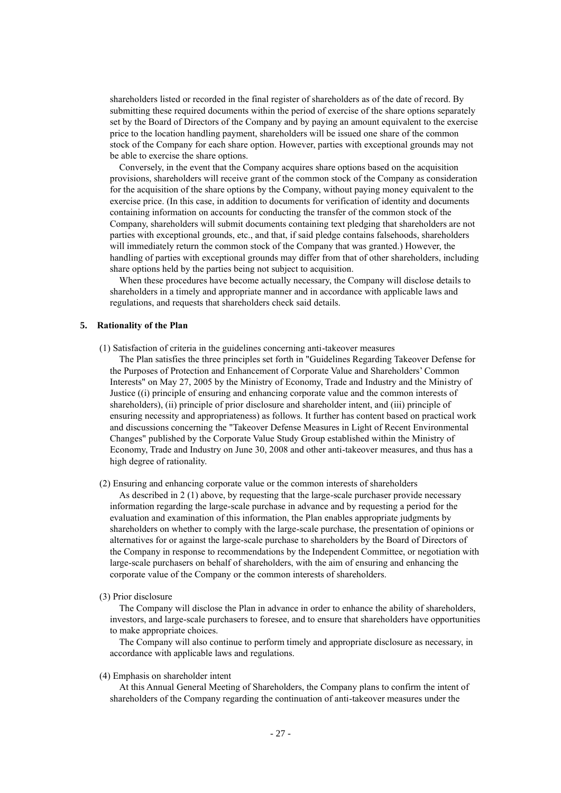shareholders listed or recorded in the final register of shareholders as of the date of record. By submitting these required documents within the period of exercise of the share options separately set by the Board of Directors of the Company and by paying an amount equivalent to the exercise price to the location handling payment, shareholders will be issued one share of the common stock of the Company for each share option. However, parties with exceptional grounds may not be able to exercise the share options.

Conversely, in the event that the Company acquires share options based on the acquisition provisions, shareholders will receive grant of the common stock of the Company as consideration for the acquisition of the share options by the Company, without paying money equivalent to the exercise price. (In this case, in addition to documents for verification of identity and documents containing information on accounts for conducting the transfer of the common stock of the Company, shareholders will submit documents containing text pledging that shareholders are not parties with exceptional grounds, etc., and that, if said pledge contains falsehoods, shareholders will immediately return the common stock of the Company that was granted.) However, the handling of parties with exceptional grounds may differ from that of other shareholders, including share options held by the parties being not subject to acquisition.

When these procedures have become actually necessary, the Company will disclose details to shareholders in a timely and appropriate manner and in accordance with applicable laws and regulations, and requests that shareholders check said details.

## **5. Rationality of the Plan**

(1) Satisfaction of criteria in the guidelines concerning anti-takeover measures

The Plan satisfies the three principles set forth in "Guidelines Regarding Takeover Defense for the Purposes of Protection and Enhancement of Corporate Value and Shareholders' Common Interests" on May 27, 2005 by the Ministry of Economy, Trade and Industry and the Ministry of Justice ((i) principle of ensuring and enhancing corporate value and the common interests of shareholders), (ii) principle of prior disclosure and shareholder intent, and (iii) principle of ensuring necessity and appropriateness) as follows. It further has content based on practical work and discussions concerning the "Takeover Defense Measures in Light of Recent Environmental Changes" published by the Corporate Value Study Group established within the Ministry of Economy, Trade and Industry on June 30, 2008 and other anti-takeover measures, and thus has a high degree of rationality.

- (2) Ensuring and enhancing corporate value or the common interests of shareholders As described in 2 (1) above, by requesting that the large-scale purchaser provide necessary information regarding the large-scale purchase in advance and by requesting a period for the evaluation and examination of this information, the Plan enables appropriate judgments by shareholders on whether to comply with the large-scale purchase, the presentation of opinions or alternatives for or against the large-scale purchase to shareholders by the Board of Directors of the Company in response to recommendations by the Independent Committee, or negotiation with large-scale purchasers on behalf of shareholders, with the aim of ensuring and enhancing the corporate value of the Company or the common interests of shareholders.
- (3) Prior disclosure

The Company will disclose the Plan in advance in order to enhance the ability of shareholders, investors, and large-scale purchasers to foresee, and to ensure that shareholders have opportunities to make appropriate choices.

The Company will also continue to perform timely and appropriate disclosure as necessary, in accordance with applicable laws and regulations.

#### (4) Emphasis on shareholder intent

At this Annual General Meeting of Shareholders, the Company plans to confirm the intent of shareholders of the Company regarding the continuation of anti-takeover measures under the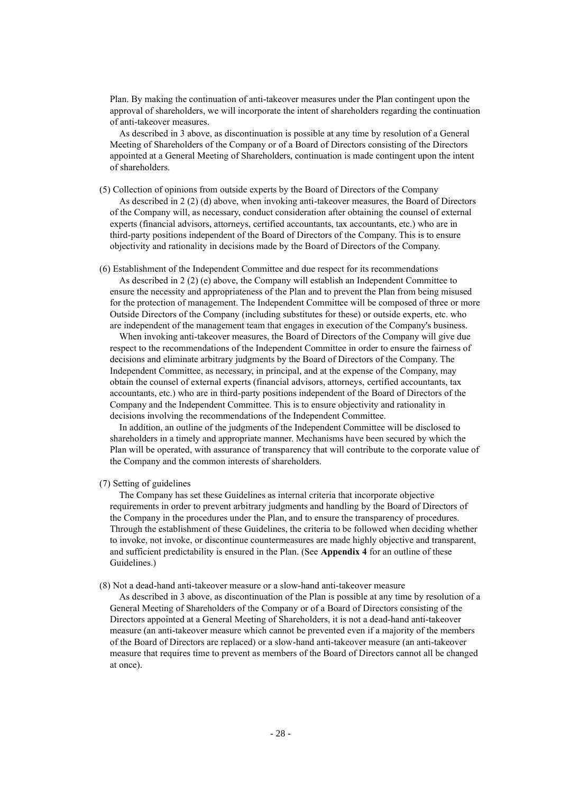Plan. By making the continuation of anti-takeover measures under the Plan contingent upon the approval of shareholders, we will incorporate the intent of shareholders regarding the continuation of anti-takeover measures.

As described in 3 above, as discontinuation is possible at any time by resolution of a General Meeting of Shareholders of the Company or of a Board of Directors consisting of the Directors appointed at a General Meeting of Shareholders, continuation is made contingent upon the intent of shareholders.

- (5) Collection of opinions from outside experts by the Board of Directors of the Company As described in 2 (2) (d) above, when invoking anti-takeover measures, the Board of Directors of the Company will, as necessary, conduct consideration after obtaining the counsel of external experts (financial advisors, attorneys, certified accountants, tax accountants, etc.) who are in third-party positions independent of the Board of Directors of the Company. This is to ensure objectivity and rationality in decisions made by the Board of Directors of the Company.
- (6) Establishment of the Independent Committee and due respect for its recommendations As described in 2 (2) (e) above, the Company will establish an Independent Committee to ensure the necessity and appropriateness of the Plan and to prevent the Plan from being misused for the protection of management. The Independent Committee will be composed of three or more Outside Directors of the Company (including substitutes for these) or outside experts, etc. who are independent of the management team that engages in execution of the Company's business.

When invoking anti-takeover measures, the Board of Directors of the Company will give due respect to the recommendations of the Independent Committee in order to ensure the fairness of decisions and eliminate arbitrary judgments by the Board of Directors of the Company. The Independent Committee, as necessary, in principal, and at the expense of the Company, may obtain the counsel of external experts (financial advisors, attorneys, certified accountants, tax accountants, etc.) who are in third-party positions independent of the Board of Directors of the Company and the Independent Committee. This is to ensure objectivity and rationality in decisions involving the recommendations of the Independent Committee.

In addition, an outline of the judgments of the Independent Committee will be disclosed to shareholders in a timely and appropriate manner. Mechanisms have been secured by which the Plan will be operated, with assurance of transparency that will contribute to the corporate value of the Company and the common interests of shareholders.

#### (7) Setting of guidelines

The Company has set these Guidelines as internal criteria that incorporate objective requirements in order to prevent arbitrary judgments and handling by the Board of Directors of the Company in the procedures under the Plan, and to ensure the transparency of procedures. Through the establishment of these Guidelines, the criteria to be followed when deciding whether to invoke, not invoke, or discontinue countermeasures are made highly objective and transparent, and sufficient predictability is ensured in the Plan. (See **Appendix 4** for an outline of these Guidelines.)

#### (8) Not a dead-hand anti-takeover measure or a slow-hand anti-takeover measure

As described in 3 above, as discontinuation of the Plan is possible at any time by resolution of a General Meeting of Shareholders of the Company or of a Board of Directors consisting of the Directors appointed at a General Meeting of Shareholders, it is not a dead-hand anti-takeover measure (an anti-takeover measure which cannot be prevented even if a majority of the members of the Board of Directors are replaced) or a slow-hand anti-takeover measure (an anti-takeover measure that requires time to prevent as members of the Board of Directors cannot all be changed at once).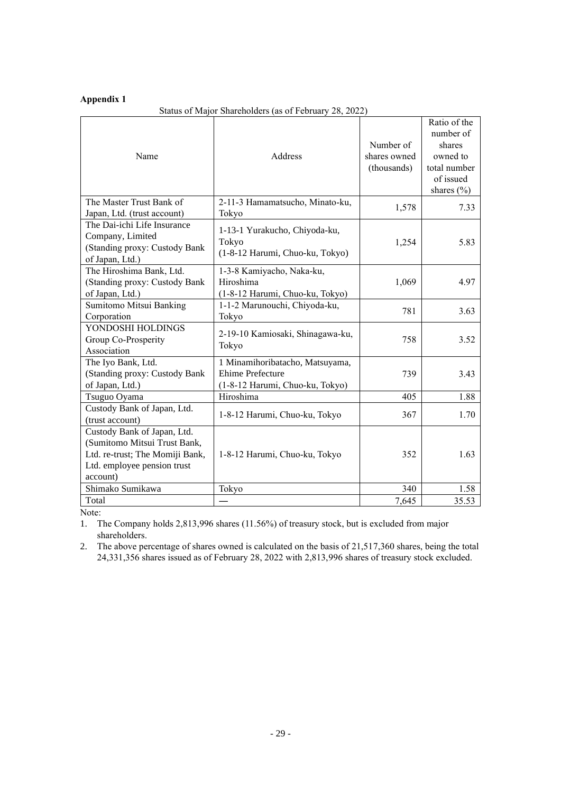# **Appendix 1**

# Status of Major Shareholders (as of February 28, 2022)

| Name                                                                                                                                      | Address                                                                                       | Number of<br>shares owned<br>(thousands) | Ratio of the<br>number of<br>shares<br>owned to<br>total number<br>of issued<br>shares $(\% )$ |
|-------------------------------------------------------------------------------------------------------------------------------------------|-----------------------------------------------------------------------------------------------|------------------------------------------|------------------------------------------------------------------------------------------------|
| The Master Trust Bank of<br>Japan, Ltd. (trust account)                                                                                   | 2-11-3 Hamamatsucho, Minato-ku,<br>Tokyo                                                      | 1,578                                    | 7.33                                                                                           |
| The Dai-ichi Life Insurance<br>Company, Limited<br>(Standing proxy: Custody Bank<br>of Japan, Ltd.)                                       | 1-13-1 Yurakucho, Chiyoda-ku,<br>Tokyo<br>(1-8-12 Harumi, Chuo-ku, Tokyo)                     | 1,254                                    | 5.83                                                                                           |
| The Hiroshima Bank, Ltd.<br>(Standing proxy: Custody Bank<br>of Japan, Ltd.)                                                              | 1-3-8 Kamiyacho, Naka-ku,<br>Hiroshima<br>(1-8-12 Harumi, Chuo-ku, Tokyo)                     | 1,069                                    | 4.97                                                                                           |
| Sumitomo Mitsui Banking<br>Corporation                                                                                                    | 1-1-2 Marunouchi, Chiyoda-ku,<br>Tokyo                                                        | 781                                      | 3.63                                                                                           |
| YONDOSHI HOLDINGS<br>Group Co-Prosperity<br>Association                                                                                   | 2-19-10 Kamiosaki, Shinagawa-ku,<br>Tokyo                                                     | 758                                      | 3.52                                                                                           |
| The Iyo Bank, Ltd.<br>(Standing proxy: Custody Bank<br>of Japan, Ltd.)                                                                    | 1 Minamihoribatacho, Matsuyama,<br><b>Ehime Prefecture</b><br>(1-8-12 Harumi, Chuo-ku, Tokyo) | 739                                      | 3.43                                                                                           |
| Tsuguo Oyama                                                                                                                              | Hiroshima                                                                                     | 405                                      | 1.88                                                                                           |
| Custody Bank of Japan, Ltd.<br>(trust account)                                                                                            | 1-8-12 Harumi, Chuo-ku, Tokyo                                                                 | 367                                      | 1.70                                                                                           |
| Custody Bank of Japan, Ltd.<br>(Sumitomo Mitsui Trust Bank,<br>Ltd. re-trust; The Momiji Bank,<br>Ltd. employee pension trust<br>account) | 1-8-12 Harumi, Chuo-ku, Tokyo                                                                 | 352                                      | 1.63                                                                                           |
| Shimako Sumikawa                                                                                                                          | Tokyo                                                                                         | 340                                      | 1.58                                                                                           |
| Total                                                                                                                                     |                                                                                               | 7,645                                    | 35.53                                                                                          |

Note:

1. The Company holds 2,813,996 shares (11.56%) of treasury stock, but is excluded from major shareholders.

2. The above percentage of shares owned is calculated on the basis of 21,517,360 shares, being the total 24,331,356 shares issued as of February 28, 2022 with 2,813,996 shares of treasury stock excluded.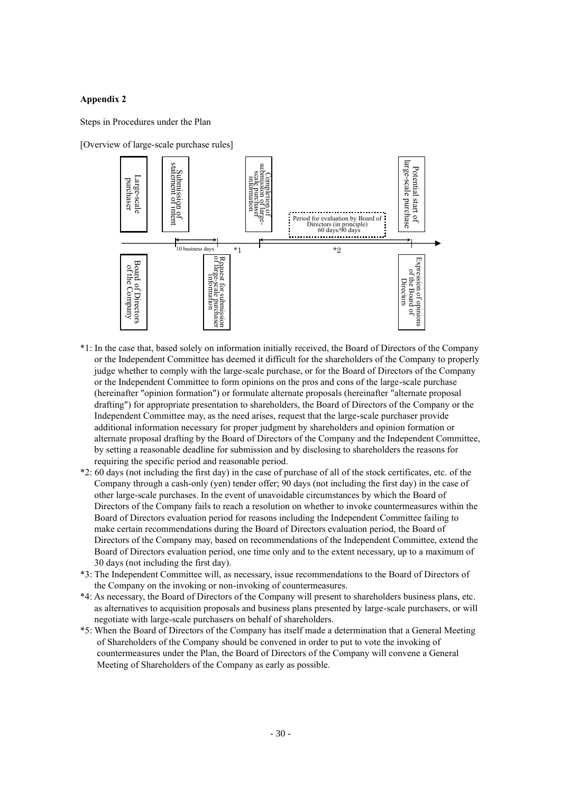### **Appendix 2**

Steps in Procedures under the Plan

[Overview of large-scale purchase rules]



- \*1: In the case that, based solely on information initially received, the Board of Directors of the Company or the Independent Committee has deemed it difficult for the shareholders of the Company to properly judge whether to comply with the large-scale purchase, or for the Board of Directors of the Company or the Independent Committee to form opinions on the pros and cons of the large-scale purchase (hereinafter "opinion formation") or formulate alternate proposals (hereinafter "alternate proposal drafting") for appropriate presentation to shareholders, the Board of Directors of the Company or the Independent Committee may, as the need arises, request that the large-scale purchaser provide additional information necessary for proper judgment by shareholders and opinion formation or alternate proposal drafting by the Board of Directors of the Company and the Independent Committee, by setting a reasonable deadline for submission and by disclosing to shareholders the reasons for requiring the specific period and reasonable period.
- \*2: 60 days (not including the first day) in the case of purchase of all of the stock certificates, etc. of the Company through a cash-only (yen) tender offer; 90 days (not including the first day) in the case of other large-scale purchases. In the event of unavoidable circumstances by which the Board of Directors of the Company fails to reach a resolution on whether to invoke countermeasures within the Board of Directors evaluation period for reasons including the Independent Committee failing to make certain recommendations during the Board of Directors evaluation period, the Board of Directors of the Company may, based on recommendations of the Independent Committee, extend the Board of Directors evaluation period, one time only and to the extent necessary, up to a maximum of 30 days (not including the first day).
- \*3: The Independent Committee will, as necessary, issue recommendations to the Board of Directors of the Company on the invoking or non-invoking of countermeasures.
- \*4: As necessary, the Board of Directors of the Company will present to shareholders business plans, etc. as alternatives to acquisition proposals and business plans presented by large-scale purchasers, or will negotiate with large-scale purchasers on behalf of shareholders.
- \*5: When the Board of Directors of the Company has itself made a determination that a General Meeting of Shareholders of the Company should be convened in order to put to vote the invoking of countermeasures under the Plan, the Board of Directors of the Company will convene a General Meeting of Shareholders of the Company as early as possible.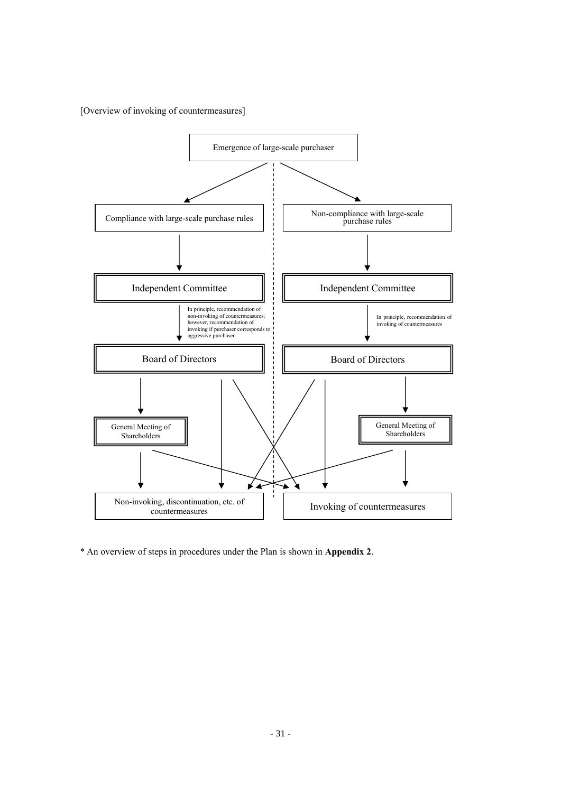[Overview of invoking of countermeasures]



\* An overview of steps in procedures under the Plan is shown in **Appendix 2**.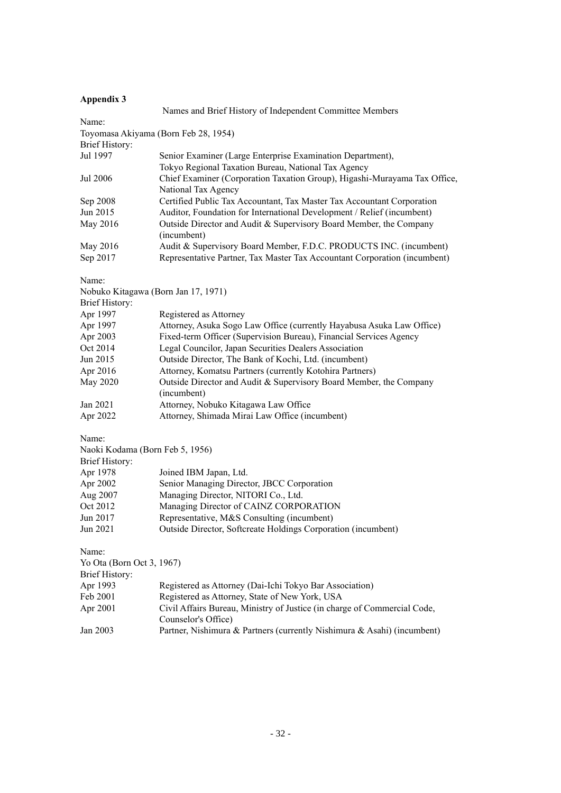# **Appendix 3**

|                                     | Names and Brief History of Independent Committee Members                  |
|-------------------------------------|---------------------------------------------------------------------------|
| Name:                               |                                                                           |
|                                     | Toyomasa Akiyama (Born Feb 28, 1954)                                      |
| <b>Brief History:</b>               |                                                                           |
| Jul 1997                            | Senior Examiner (Large Enterprise Examination Department),                |
|                                     | Tokyo Regional Taxation Bureau, National Tax Agency                       |
| Jul 2006                            | Chief Examiner (Corporation Taxation Group), Higashi-Murayama Tax Office, |
|                                     | National Tax Agency                                                       |
| Sep 2008                            | Certified Public Tax Accountant, Tax Master Tax Accountant Corporation    |
| Jun 2015                            | Auditor, Foundation for International Development / Relief (incumbent)    |
| May 2016                            | Outside Director and Audit & Supervisory Board Member, the Company        |
|                                     | (incumbent)                                                               |
| May 2016                            | Audit & Supervisory Board Member, F.D.C. PRODUCTS INC. (incumbent)        |
| Sep 2017                            | Representative Partner, Tax Master Tax Accountant Corporation (incumbent) |
|                                     |                                                                           |
| Name:                               |                                                                           |
| Nobuko Kitagawa (Born Jan 17, 1971) |                                                                           |
| <b>Brief History:</b>               |                                                                           |
| Apr 1997                            | Registered as Attorney                                                    |
| Apr 1997                            | Attorney, Asuka Sogo Law Office (currently Hayabusa Asuka Law Office)     |
| Apr 2003                            | Fixed-term Officer (Supervision Bureau), Financial Services Agency        |
| Oct 2014                            | Legal Councilor, Japan Securities Dealers Association                     |
| Jun 2015                            | Outside Director, The Bank of Kochi, Ltd. (incumbent)                     |
| Apr 2016                            | Attorney, Komatsu Partners (currently Kotohira Partners)                  |
| May 2020                            | Outside Director and Audit & Supervisory Board Member, the Company        |
|                                     | (incumbent)                                                               |
| Jan 2021                            | Attorney, Nobuko Kitagawa Law Office                                      |
| Apr 2022                            | Attorney, Shimada Mirai Law Office (incumbent)                            |
|                                     |                                                                           |
| Name:                               |                                                                           |
| Naoki Kodama (Born Feb 5, 1956)     |                                                                           |
| Brief History:                      |                                                                           |
| Apr 1978                            | Joined IBM Japan, Ltd.                                                    |
| Apr 2002                            | Senior Managing Director, JBCC Corporation                                |
| Aug 2007                            | Managing Director, NITORI Co., Ltd.                                       |
| Oct 2012                            | Managing Director of CAINZ CORPORATION                                    |
| Jun 2017                            | Representative, M&S Consulting (incumbent)                                |
| Jun 2021                            | Outside Director, Softcreate Holdings Corporation (incumbent)             |
| Name:                               |                                                                           |
| Yo Ota (Born Oct 3, 1967)           |                                                                           |
| <b>Brief History:</b>               |                                                                           |
| Apr 1993                            | Registered as Attorney (Dai-Ichi Tokyo Bar Association)                   |
| Feb 2001                            | Registered as Attorney, State of New York, USA                            |
| Apr 2001                            | Civil Affairs Bureau, Ministry of Justice (in charge of Commercial Code,  |
|                                     | Counselor's Office)                                                       |
| Jan 2003                            | Partner, Nishimura & Partners (currently Nishimura & Asahi) (incumbent)   |
|                                     |                                                                           |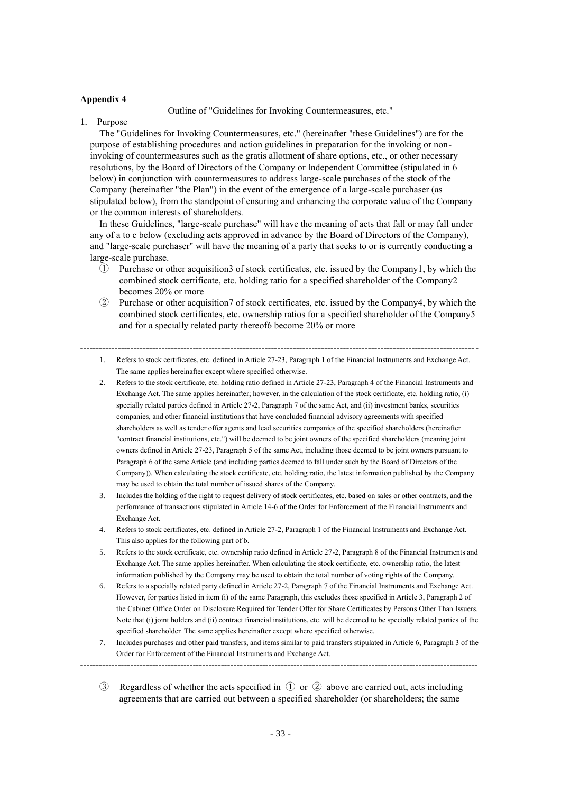#### **Appendix 4**

Outline of "Guidelines for Invoking Countermeasures, etc."

1. Purpose

The "Guidelines for Invoking Countermeasures, etc." (hereinafter "these Guidelines") are for the purpose of establishing procedures and action guidelines in preparation for the invoking or noninvoking of countermeasures such as the gratis allotment of share options, etc., or other necessary resolutions, by the Board of Directors of the Company or Independent Committee (stipulated in 6 below) in conjunction with countermeasures to address large-scale purchases of the stock of the Company (hereinafter "the Plan") in the event of the emergence of a large-scale purchaser (as stipulated below), from the standpoint of ensuring and enhancing the corporate value of the Company or the common interests of shareholders.

In these Guidelines, "large-scale purchase" will have the meaning of acts that fall or may fall under any of a to c below (excluding acts approved in advance by the Board of Directors of the Company), and "large-scale purchaser" will have the meaning of a party that seeks to or is currently conducting a large-scale purchase.

- ① Purchase or other acquisition3 of stock certificates, etc. issued by the Company1, by which the combined stock certificate, etc. holding ratio for a specified shareholder of the Company2 becomes 20% or more
- ② Purchase or other acquisition7 of stock certificates, etc. issued by the Company4, by which the combined stock certificates, etc. ownership ratios for a specified shareholder of the Company5 and for a specially related party thereof6 become 20% or more

- 1. Refers to stock certificates, etc. defined in Article 27-23, Paragraph 1 of the Financial Instruments and Exchange Act. The same applies hereinafter except where specified otherwise.
- 2. Refers to the stock certificate, etc. holding ratio defined in Article 27-23, Paragraph 4 of the Financial Instruments and Exchange Act. The same applies hereinafter; however, in the calculation of the stock certificate, etc. holding ratio, (i) specially related parties defined in Article 27-2, Paragraph 7 of the same Act, and (ii) investment banks, securities companies, and other financial institutions that have concluded financial advisory agreements with specified shareholders as well as tender offer agents and lead securities companies of the specified shareholders (hereinafter "contract financial institutions, etc.") will be deemed to be joint owners of the specified shareholders (meaning joint owners defined in Article 27-23, Paragraph 5 of the same Act, including those deemed to be joint owners pursuant to Paragraph 6 of the same Article (and including parties deemed to fall under such by the Board of Directors of the Company)). When calculating the stock certificate, etc. holding ratio, the latest information published by the Company may be used to obtain the total number of issued shares of the Company.
- 3. Includes the holding of the right to request delivery of stock certificates, etc. based on sales or other contracts, and the performance of transactions stipulated in Article 14-6 of the Order for Enforcement of the Financial Instruments and Exchange Act.
- 4. Refers to stock certificates, etc. defined in Article 27-2, Paragraph 1 of the Financial Instruments and Exchange Act. This also applies for the following part of b.
- 5. Refers to the stock certificate, etc. ownership ratio defined in Article 27-2, Paragraph 8 of the Financial Instruments and Exchange Act. The same applies hereinafter. When calculating the stock certificate, etc. ownership ratio, the latest information published by the Company may be used to obtain the total number of voting rights of the Company.
- 6. Refers to a specially related party defined in Article 27-2, Paragraph 7 of the Financial Instruments and Exchange Act. However, for parties listed in item (i) of the same Paragraph, this excludes those specified in Article 3, Paragraph 2 of the Cabinet Office Order on Disclosure Required for Tender Offer for Share Certificates by Persons Other Than Issuers. Note that (i) joint holders and (ii) contract financial institutions, etc. will be deemed to be specially related parties of the specified shareholder. The same applies hereinafter except where specified otherwise.
- 7. Includes purchases and other paid transfers, and items similar to paid transfers stipulated in Article 6, Paragraph 3 of the Order for Enforcement of the Financial Instruments and Exchange Act.
- ③ Regardless of whether the acts specified in ① or ② above are carried out, acts including agreements that are carried out between a specified shareholder (or shareholders; the same

-------------------------------------------------------------------------------------------------------------------------------

<sup>-------------------------------------------------------------------------------------------------------------------------------</sup>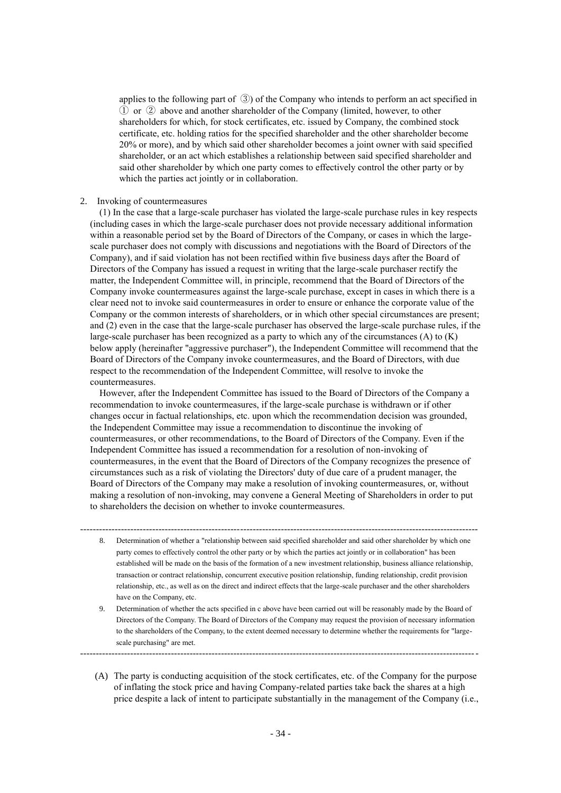applies to the following part of ③) of the Company who intends to perform an act specified in ① or ② above and another shareholder of the Company (limited, however, to other shareholders for which, for stock certificates, etc. issued by Company, the combined stock certificate, etc. holding ratios for the specified shareholder and the other shareholder become 20% or more), and by which said other shareholder becomes a joint owner with said specified shareholder, or an act which establishes a relationship between said specified shareholder and said other shareholder by which one party comes to effectively control the other party or by which the parties act jointly or in collaboration.

## 2. Invoking of countermeasures

(1) In the case that a large-scale purchaser has violated the large-scale purchase rules in key respects (including cases in which the large-scale purchaser does not provide necessary additional information within a reasonable period set by the Board of Directors of the Company, or cases in which the largescale purchaser does not comply with discussions and negotiations with the Board of Directors of the Company), and if said violation has not been rectified within five business days after the Board of Directors of the Company has issued a request in writing that the large-scale purchaser rectify the matter, the Independent Committee will, in principle, recommend that the Board of Directors of the Company invoke countermeasures against the large-scale purchase, except in cases in which there is a clear need not to invoke said countermeasures in order to ensure or enhance the corporate value of the Company or the common interests of shareholders, or in which other special circumstances are present; and (2) even in the case that the large-scale purchaser has observed the large-scale purchase rules, if the large-scale purchaser has been recognized as a party to which any of the circumstances  $(A)$  to  $(K)$ below apply (hereinafter "aggressive purchaser"), the Independent Committee will recommend that the Board of Directors of the Company invoke countermeasures, and the Board of Directors, with due respect to the recommendation of the Independent Committee, will resolve to invoke the countermeasures.

However, after the Independent Committee has issued to the Board of Directors of the Company a recommendation to invoke countermeasures, if the large-scale purchase is withdrawn or if other changes occur in factual relationships, etc. upon which the recommendation decision was grounded, the Independent Committee may issue a recommendation to discontinue the invoking of countermeasures, or other recommendations, to the Board of Directors of the Company. Even if the Independent Committee has issued a recommendation for a resolution of non-invoking of countermeasures, in the event that the Board of Directors of the Company recognizes the presence of circumstances such as a risk of violating the Directors' duty of due care of a prudent manager, the Board of Directors of the Company may make a resolution of invoking countermeasures, or, without making a resolution of non-invoking, may convene a General Meeting of Shareholders in order to put to shareholders the decision on whether to invoke countermeasures.

8. Determination of whether a "relationship between said specified shareholder and said other shareholder by which one party comes to effectively control the other party or by which the parties act jointly or in collaboration" has been established will be made on the basis of the formation of a new investment relationship, business alliance relationship, transaction or contract relationship, concurrent executive position relationship, funding relationship, credit provision relationship, etc., as well as on the direct and indirect effects that the large-scale purchaser and the other shareholders have on the Company, etc.

-------------------------------------------------------------------------------------------------------------------------------

9. Determination of whether the acts specified in c above have been carried out will be reasonably made by the Board of Directors of the Company. The Board of Directors of the Company may request the provision of necessary information to the shareholders of the Company, to the extent deemed necessary to determine whether the requirements for "largescale purchasing" are met.

-------------------------------------------------------------------------------------------------------------------------------

(A) The party is conducting acquisition of the stock certificates, etc. of the Company for the purpose of inflating the stock price and having Company-related parties take back the shares at a high price despite a lack of intent to participate substantially in the management of the Company (i.e.,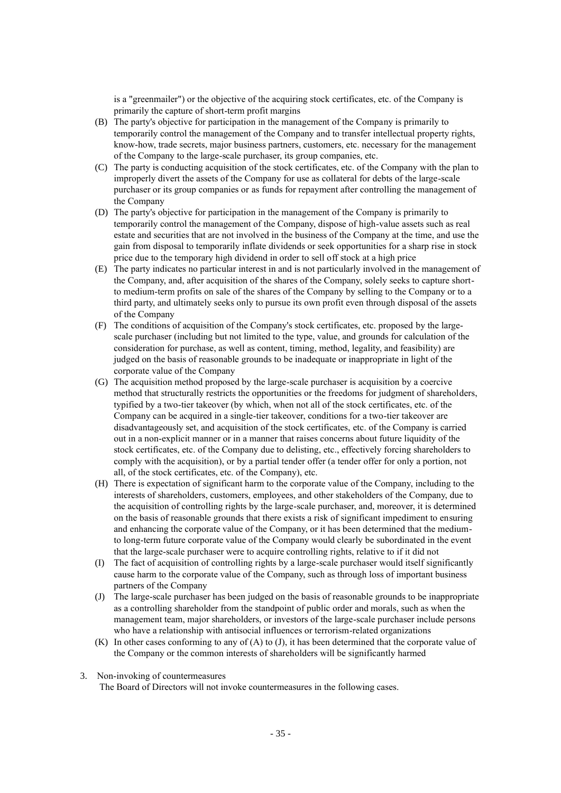is a "greenmailer") or the objective of the acquiring stock certificates, etc. of the Company is primarily the capture of short-term profit margins

- (B) The party's objective for participation in the management of the Company is primarily to temporarily control the management of the Company and to transfer intellectual property rights, know-how, trade secrets, major business partners, customers, etc. necessary for the management of the Company to the large-scale purchaser, its group companies, etc.
- (C) The party is conducting acquisition of the stock certificates, etc. of the Company with the plan to improperly divert the assets of the Company for use as collateral for debts of the large-scale purchaser or its group companies or as funds for repayment after controlling the management of the Company
- (D) The party's objective for participation in the management of the Company is primarily to temporarily control the management of the Company, dispose of high-value assets such as real estate and securities that are not involved in the business of the Company at the time, and use the gain from disposal to temporarily inflate dividends or seek opportunities for a sharp rise in stock price due to the temporary high dividend in order to sell off stock at a high price
- (E) The party indicates no particular interest in and is not particularly involved in the management of the Company, and, after acquisition of the shares of the Company, solely seeks to capture shortto medium-term profits on sale of the shares of the Company by selling to the Company or to a third party, and ultimately seeks only to pursue its own profit even through disposal of the assets of the Company
- (F) The conditions of acquisition of the Company's stock certificates, etc. proposed by the largescale purchaser (including but not limited to the type, value, and grounds for calculation of the consideration for purchase, as well as content, timing, method, legality, and feasibility) are judged on the basis of reasonable grounds to be inadequate or inappropriate in light of the corporate value of the Company
- (G) The acquisition method proposed by the large-scale purchaser is acquisition by a coercive method that structurally restricts the opportunities or the freedoms for judgment of shareholders, typified by a two-tier takeover (by which, when not all of the stock certificates, etc. of the Company can be acquired in a single-tier takeover, conditions for a two-tier takeover are disadvantageously set, and acquisition of the stock certificates, etc. of the Company is carried out in a non-explicit manner or in a manner that raises concerns about future liquidity of the stock certificates, etc. of the Company due to delisting, etc., effectively forcing shareholders to comply with the acquisition), or by a partial tender offer (a tender offer for only a portion, not all, of the stock certificates, etc. of the Company), etc.
- (H) There is expectation of significant harm to the corporate value of the Company, including to the interests of shareholders, customers, employees, and other stakeholders of the Company, due to the acquisition of controlling rights by the large-scale purchaser, and, moreover, it is determined on the basis of reasonable grounds that there exists a risk of significant impediment to ensuring and enhancing the corporate value of the Company, or it has been determined that the mediumto long-term future corporate value of the Company would clearly be subordinated in the event that the large-scale purchaser were to acquire controlling rights, relative to if it did not
- (I) The fact of acquisition of controlling rights by a large-scale purchaser would itself significantly cause harm to the corporate value of the Company, such as through loss of important business partners of the Company
- (J) The large-scale purchaser has been judged on the basis of reasonable grounds to be inappropriate as a controlling shareholder from the standpoint of public order and morals, such as when the management team, major shareholders, or investors of the large-scale purchaser include persons who have a relationship with antisocial influences or terrorism-related organizations
- (K) In other cases conforming to any of (A) to (J), it has been determined that the corporate value of the Company or the common interests of shareholders will be significantly harmed
- 3. Non-invoking of countermeasures

The Board of Directors will not invoke countermeasures in the following cases.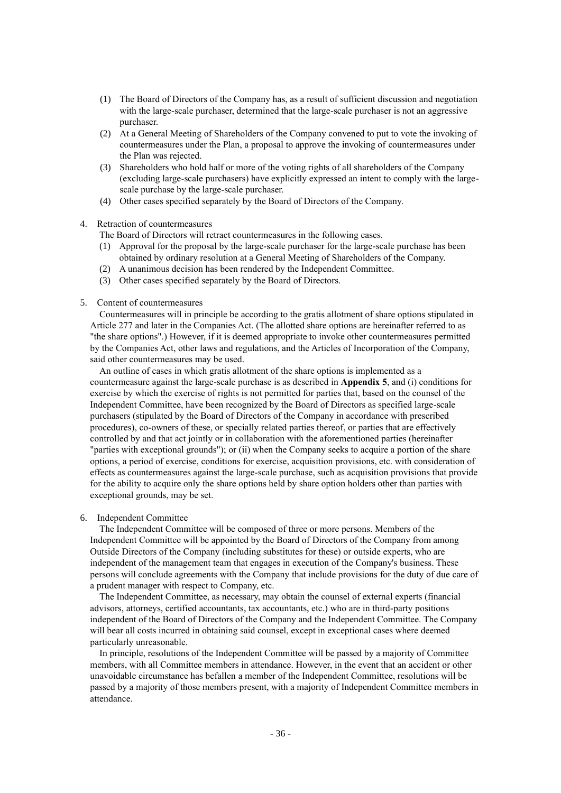- (1) The Board of Directors of the Company has, as a result of sufficient discussion and negotiation with the large-scale purchaser, determined that the large-scale purchaser is not an aggressive purchaser.
- (2) At a General Meeting of Shareholders of the Company convened to put to vote the invoking of countermeasures under the Plan, a proposal to approve the invoking of countermeasures under the Plan was rejected.
- (3) Shareholders who hold half or more of the voting rights of all shareholders of the Company (excluding large-scale purchasers) have explicitly expressed an intent to comply with the largescale purchase by the large-scale purchaser.
- (4) Other cases specified separately by the Board of Directors of the Company.
- 4. Retraction of countermeasures

The Board of Directors will retract countermeasures in the following cases.

- (1) Approval for the proposal by the large-scale purchaser for the large-scale purchase has been obtained by ordinary resolution at a General Meeting of Shareholders of the Company.
- (2) A unanimous decision has been rendered by the Independent Committee.
- (3) Other cases specified separately by the Board of Directors.
- 5. Content of countermeasures

Countermeasures will in principle be according to the gratis allotment of share options stipulated in Article 277 and later in the Companies Act. (The allotted share options are hereinafter referred to as "the share options".) However, if it is deemed appropriate to invoke other countermeasures permitted by the Companies Act, other laws and regulations, and the Articles of Incorporation of the Company, said other countermeasures may be used.

An outline of cases in which gratis allotment of the share options is implemented as a countermeasure against the large-scale purchase is as described in **Appendix 5**, and (i) conditions for exercise by which the exercise of rights is not permitted for parties that, based on the counsel of the Independent Committee, have been recognized by the Board of Directors as specified large-scale purchasers (stipulated by the Board of Directors of the Company in accordance with prescribed procedures), co-owners of these, or specially related parties thereof, or parties that are effectively controlled by and that act jointly or in collaboration with the aforementioned parties (hereinafter "parties with exceptional grounds"); or (ii) when the Company seeks to acquire a portion of the share options, a period of exercise, conditions for exercise, acquisition provisions, etc. with consideration of effects as countermeasures against the large-scale purchase, such as acquisition provisions that provide for the ability to acquire only the share options held by share option holders other than parties with exceptional grounds, may be set.

#### 6. Independent Committee

The Independent Committee will be composed of three or more persons. Members of the Independent Committee will be appointed by the Board of Directors of the Company from among Outside Directors of the Company (including substitutes for these) or outside experts, who are independent of the management team that engages in execution of the Company's business. These persons will conclude agreements with the Company that include provisions for the duty of due care of a prudent manager with respect to Company, etc.

The Independent Committee, as necessary, may obtain the counsel of external experts (financial advisors, attorneys, certified accountants, tax accountants, etc.) who are in third-party positions independent of the Board of Directors of the Company and the Independent Committee. The Company will bear all costs incurred in obtaining said counsel, except in exceptional cases where deemed particularly unreasonable.

In principle, resolutions of the Independent Committee will be passed by a majority of Committee members, with all Committee members in attendance. However, in the event that an accident or other unavoidable circumstance has befallen a member of the Independent Committee, resolutions will be passed by a majority of those members present, with a majority of Independent Committee members in attendance.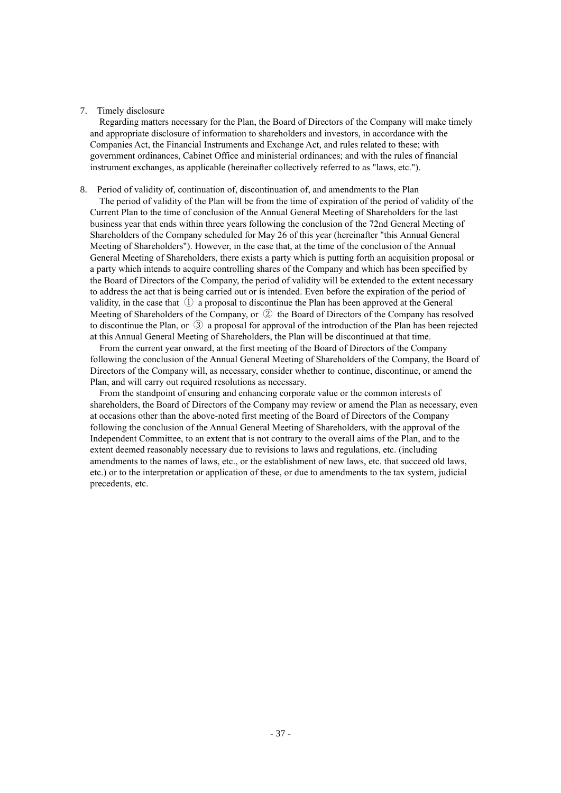#### 7. Timely disclosure

Regarding matters necessary for the Plan, the Board of Directors of the Company will make timely and appropriate disclosure of information to shareholders and investors, in accordance with the Companies Act, the Financial Instruments and Exchange Act, and rules related to these; with government ordinances, Cabinet Office and ministerial ordinances; and with the rules of financial instrument exchanges, as applicable (hereinafter collectively referred to as "laws, etc.").

### 8. Period of validity of, continuation of, discontinuation of, and amendments to the Plan

The period of validity of the Plan will be from the time of expiration of the period of validity of the Current Plan to the time of conclusion of the Annual General Meeting of Shareholders for the last business year that ends within three years following the conclusion of the 72nd General Meeting of Shareholders of the Company scheduled for May 26 of this year (hereinafter "this Annual General Meeting of Shareholders"). However, in the case that, at the time of the conclusion of the Annual General Meeting of Shareholders, there exists a party which is putting forth an acquisition proposal or a party which intends to acquire controlling shares of the Company and which has been specified by the Board of Directors of the Company, the period of validity will be extended to the extent necessary to address the act that is being carried out or is intended. Even before the expiration of the period of validity, in the case that  $\Phi$  a proposal to discontinue the Plan has been approved at the General Meeting of Shareholders of the Company, or ② the Board of Directors of the Company has resolved to discontinue the Plan, or ③ a proposal for approval of the introduction of the Plan has been rejected at this Annual General Meeting of Shareholders, the Plan will be discontinued at that time.

From the current year onward, at the first meeting of the Board of Directors of the Company following the conclusion of the Annual General Meeting of Shareholders of the Company, the Board of Directors of the Company will, as necessary, consider whether to continue, discontinue, or amend the Plan, and will carry out required resolutions as necessary.

From the standpoint of ensuring and enhancing corporate value or the common interests of shareholders, the Board of Directors of the Company may review or amend the Plan as necessary, even at occasions other than the above-noted first meeting of the Board of Directors of the Company following the conclusion of the Annual General Meeting of Shareholders, with the approval of the Independent Committee, to an extent that is not contrary to the overall aims of the Plan, and to the extent deemed reasonably necessary due to revisions to laws and regulations, etc. (including amendments to the names of laws, etc., or the establishment of new laws, etc. that succeed old laws, etc.) or to the interpretation or application of these, or due to amendments to the tax system, judicial precedents, etc.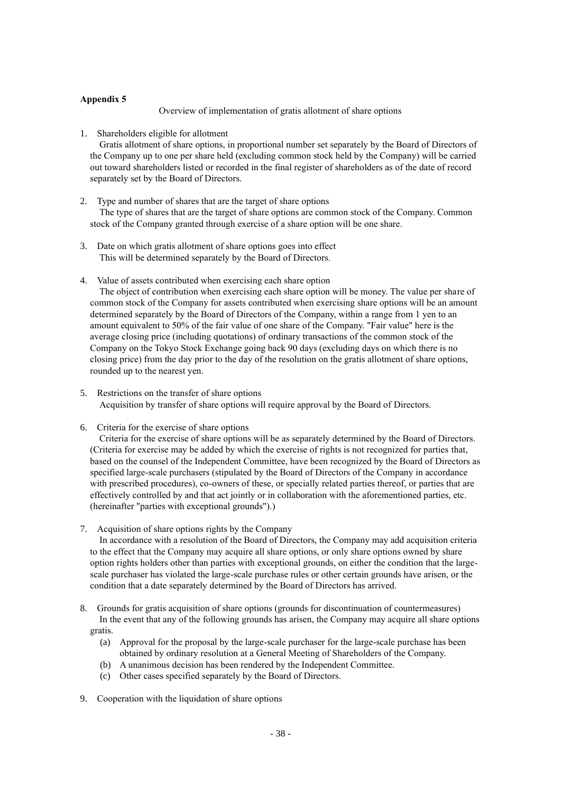## **Appendix 5**

Overview of implementation of gratis allotment of share options

1. Shareholders eligible for allotment

Gratis allotment of share options, in proportional number set separately by the Board of Directors of the Company up to one per share held (excluding common stock held by the Company) will be carried out toward shareholders listed or recorded in the final register of shareholders as of the date of record separately set by the Board of Directors.

- 2. Type and number of shares that are the target of share options The type of shares that are the target of share options are common stock of the Company. Common stock of the Company granted through exercise of a share option will be one share.
- 3. Date on which gratis allotment of share options goes into effect This will be determined separately by the Board of Directors.
- 4. Value of assets contributed when exercising each share option

The object of contribution when exercising each share option will be money. The value per share of common stock of the Company for assets contributed when exercising share options will be an amount determined separately by the Board of Directors of the Company, within a range from 1 yen to an amount equivalent to 50% of the fair value of one share of the Company. "Fair value" here is the average closing price (including quotations) of ordinary transactions of the common stock of the Company on the Tokyo Stock Exchange going back 90 days (excluding days on which there is no closing price) from the day prior to the day of the resolution on the gratis allotment of share options, rounded up to the nearest yen.

- 5. Restrictions on the transfer of share options Acquisition by transfer of share options will require approval by the Board of Directors.
- 6. Criteria for the exercise of share options

Criteria for the exercise of share options will be as separately determined by the Board of Directors. (Criteria for exercise may be added by which the exercise of rights is not recognized for parties that, based on the counsel of the Independent Committee, have been recognized by the Board of Directors as specified large-scale purchasers (stipulated by the Board of Directors of the Company in accordance with prescribed procedures), co-owners of these, or specially related parties thereof, or parties that are effectively controlled by and that act jointly or in collaboration with the aforementioned parties, etc. (hereinafter "parties with exceptional grounds").)

7. Acquisition of share options rights by the Company

In accordance with a resolution of the Board of Directors, the Company may add acquisition criteria to the effect that the Company may acquire all share options, or only share options owned by share option rights holders other than parties with exceptional grounds, on either the condition that the largescale purchaser has violated the large-scale purchase rules or other certain grounds have arisen, or the condition that a date separately determined by the Board of Directors has arrived.

- 8. Grounds for gratis acquisition of share options (grounds for discontinuation of countermeasures) In the event that any of the following grounds has arisen, the Company may acquire all share options gratis.
	- (a) Approval for the proposal by the large-scale purchaser for the large-scale purchase has been obtained by ordinary resolution at a General Meeting of Shareholders of the Company.
	- (b) A unanimous decision has been rendered by the Independent Committee.
	- (c) Other cases specified separately by the Board of Directors.
- 9. Cooperation with the liquidation of share options